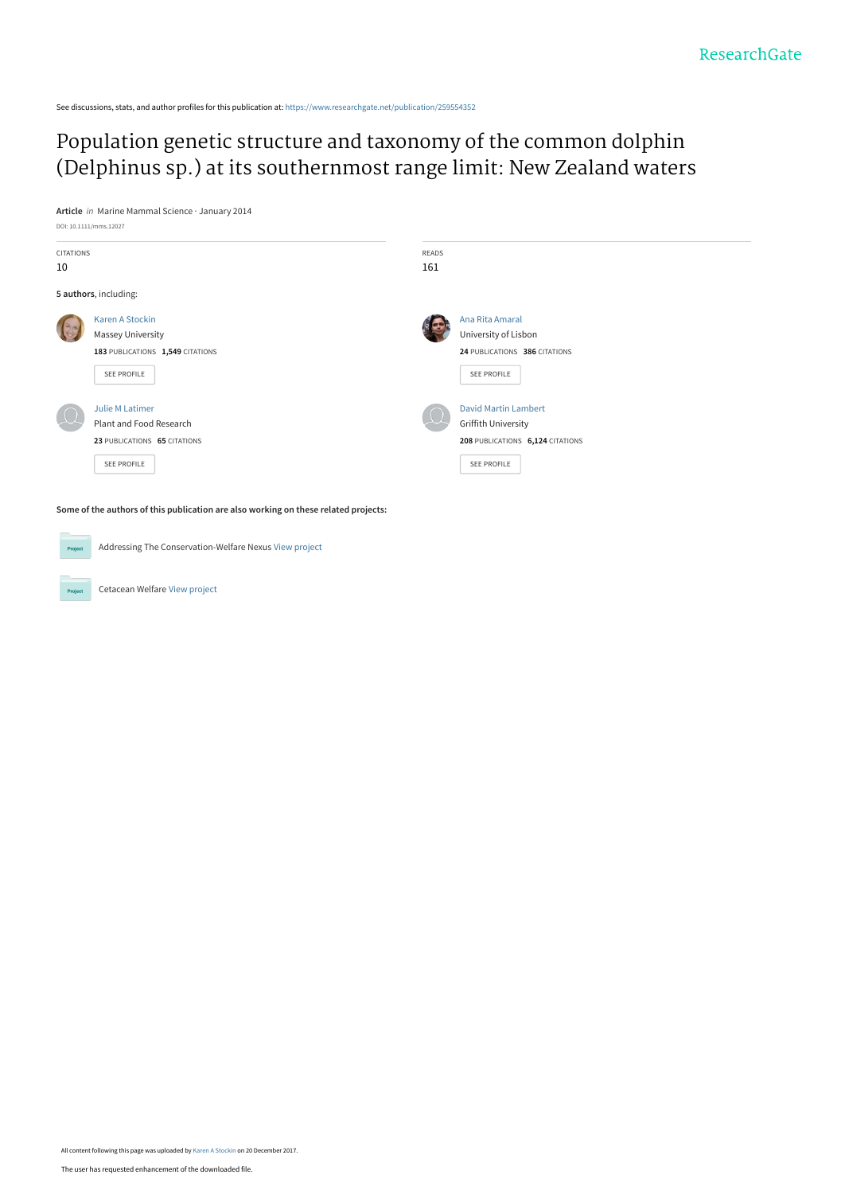See discussions, stats, and author profiles for this publication at: [https://www.researchgate.net/publication/259554352](https://www.researchgate.net/publication/259554352_Population_genetic_structure_and_taxonomy_of_the_common_dolphin_Delphinus_sp_at_its_southernmost_range_limit_New_Zealand_waters?enrichId=rgreq-2dae49effe975b465df37d0a2123e22b-XXX&enrichSource=Y292ZXJQYWdlOzI1OTU1NDM1MjtBUzo1NzM3ODkyOTAxNTYwMzJAMTUxMzgxMzQzNTc5Nw%3D%3D&el=1_x_2&_esc=publicationCoverPdf)

# Population genetic structure and taxonomy of the common dolphin [\(Delphinus sp.\) at its southernmost range limit: New Zealand waters](https://www.researchgate.net/publication/259554352_Population_genetic_structure_and_taxonomy_of_the_common_dolphin_Delphinus_sp_at_its_southernmost_range_limit_New_Zealand_waters?enrichId=rgreq-2dae49effe975b465df37d0a2123e22b-XXX&enrichSource=Y292ZXJQYWdlOzI1OTU1NDM1MjtBUzo1NzM3ODkyOTAxNTYwMzJAMTUxMzgxMzQzNTc5Nw%3D%3D&el=1_x_3&_esc=publicationCoverPdf)

**Article** in Marine Mammal Science · January 2014



**Some of the authors of this publication are also working on these related projects:**

Addressing The Conservation-Welfare Nexus [View project](https://www.researchgate.net/project/Addressing-The-Conservation-Welfare-Nexus?enrichId=rgreq-2dae49effe975b465df37d0a2123e22b-XXX&enrichSource=Y292ZXJQYWdlOzI1OTU1NDM1MjtBUzo1NzM3ODkyOTAxNTYwMzJAMTUxMzgxMzQzNTc5Nw%3D%3D&el=1_x_9&_esc=publicationCoverPdf)

Cetacean Welfare [View project](https://www.researchgate.net/project/Cetacean-Welfare?enrichId=rgreq-2dae49effe975b465df37d0a2123e22b-XXX&enrichSource=Y292ZXJQYWdlOzI1OTU1NDM1MjtBUzo1NzM3ODkyOTAxNTYwMzJAMTUxMzgxMzQzNTc5Nw%3D%3D&el=1_x_9&_esc=publicationCoverPdf)

Project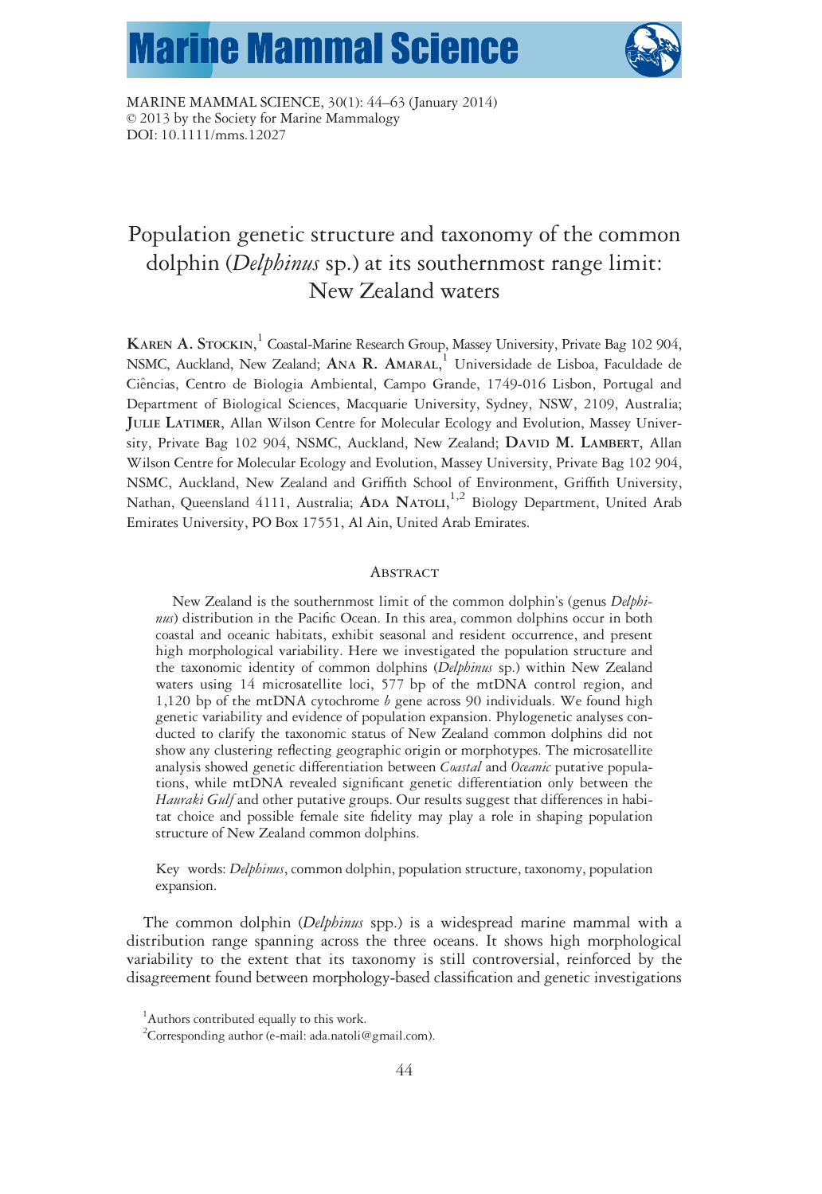# **Marine Mammal Science**



MARINE MAMMAL SCIENCE, 30(1): 44–63 (January 2014) © 2013 by the Society for Marine Mammalogy DOI: 10.1111/mms.12027

# Population genetic structure and taxonomy of the common dolphin (Delphinus sp.) at its southernmost range limit: New Zealand waters

KAREN A. STOCKIN, <sup>1</sup> Coastal-Marine Research Group, Massey University, Private Bag 102 904, NSMC, Auckland, New Zealand; ANA R. AMARAL, <sup>1</sup> Universidade de Lisboa, Faculdade de Ci^encias, Centro de Biologia Ambiental, Campo Grande, 1749-016 Lisbon, Portugal and Department of Biological Sciences, Macquarie University, Sydney, NSW, 2109, Australia; JULIE LATIMER, Allan Wilson Centre for Molecular Ecology and Evolution, Massey University, Private Bag 102 904, NSMC, Auckland, New Zealand; DAVID M. LAMBERT, Allan Wilson Centre for Molecular Ecology and Evolution, Massey University, Private Bag 102 904, NSMC, Auckland, New Zealand and Griffith School of Environment, Griffith University, Nathan, Queensland 4111, Australia; ADA NATOLI,<sup>1,2</sup> Biology Department, United Arab Emirates University, PO Box 17551, Al Ain, United Arab Emirates.

#### **ABSTRACT**

New Zealand is the southernmost limit of the common dolphin's (genus Delphinus) distribution in the Pacific Ocean. In this area, common dolphins occur in both coastal and oceanic habitats, exhibit seasonal and resident occurrence, and present high morphological variability. Here we investigated the population structure and the taxonomic identity of common dolphins (Delphinus sp.) within New Zealand waters using 14 microsatellite loci, 577 bp of the mtDNA control region, and 1,120 bp of the mtDNA cytochrome  $b$  gene across 90 individuals. We found high genetic variability and evidence of population expansion. Phylogenetic analyses conducted to clarify the taxonomic status of New Zealand common dolphins did not show any clustering reflecting geographic origin or morphotypes. The microsatellite analysis showed genetic differentiation between Coastal and Oceanic putative populations, while mtDNA revealed significant genetic differentiation only between the Hauraki Gulf and other putative groups. Our results suggest that differences in habitat choice and possible female site fidelity may play a role in shaping population structure of New Zealand common dolphins.

Key words: *Delphinus*, common dolphin, population structure, taxonomy, population expansion.

The common dolphin (*Delphinus* spp.) is a widespread marine mammal with a distribution range spanning across the three oceans. It shows high morphological variability to the extent that its taxonomy is still controversial, reinforced by the disagreement found between morphology-based classification and genetic investigations

<sup>1</sup> Authors contributed equally to this work.

<sup>&</sup>lt;sup>2</sup>Corresponding author (e-mail: ada.natoli@gmail.com).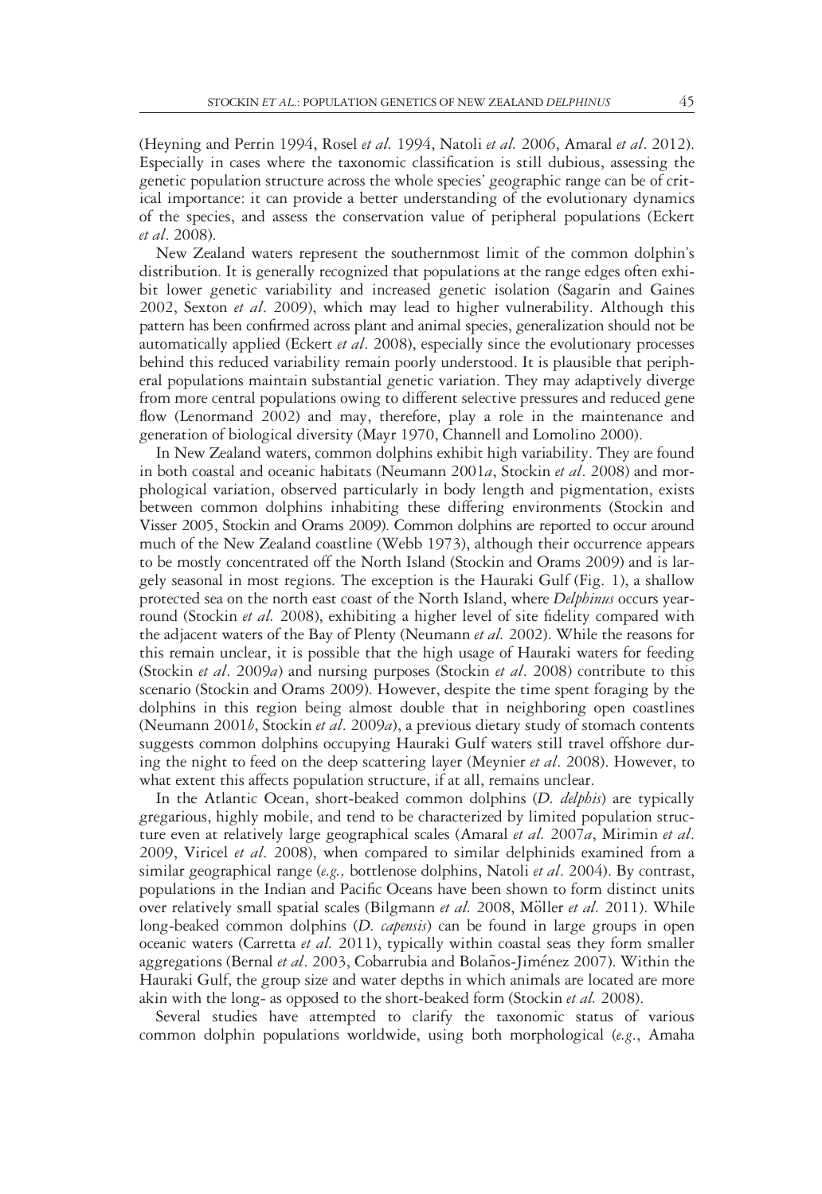(Heyning and Perrin 1994, Rosel et al. 1994, Natoli et al. 2006, Amaral et al. 2012). Especially in cases where the taxonomic classification is still dubious, assessing the genetic population structure across the whole species' geographic range can be of critical importance: it can provide a better understanding of the evolutionary dynamics of the species, and assess the conservation value of peripheral populations (Eckert et al. 2008).

New Zealand waters represent the southernmost limit of the common dolphin's distribution. It is generally recognized that populations at the range edges often exhibit lower genetic variability and increased genetic isolation (Sagarin and Gaines 2002, Sexton et al. 2009), which may lead to higher vulnerability. Although this pattern has been confirmed across plant and animal species, generalization should not be automatically applied (Eckert et al. 2008), especially since the evolutionary processes behind this reduced variability remain poorly understood. It is plausible that peripheral populations maintain substantial genetic variation. They may adaptively diverge from more central populations owing to different selective pressures and reduced gene flow (Lenormand 2002) and may, therefore, play a role in the maintenance and generation of biological diversity (Mayr 1970, Channell and Lomolino 2000).

In New Zealand waters, common dolphins exhibit high variability. They are found in both coastal and oceanic habitats (Neumann 2001a, Stockin et al. 2008) and morphological variation, observed particularly in body length and pigmentation, exists between common dolphins inhabiting these differing environments (Stockin and Visser 2005, Stockin and Orams 2009). Common dolphins are reported to occur around much of the New Zealand coastline (Webb 1973), although their occurrence appears to be mostly concentrated off the North Island (Stockin and Orams 2009) and is largely seasonal in most regions. The exception is the Hauraki Gulf (Fig. 1), a shallow protected sea on the north east coast of the North Island, where Delphinus occurs yearround (Stockin *et al.* 2008), exhibiting a higher level of site fidelity compared with the adjacent waters of the Bay of Plenty (Neumann et al. 2002). While the reasons for this remain unclear, it is possible that the high usage of Hauraki waters for feeding (Stockin *et al.* 2009*a*) and nursing purposes (Stockin *et al.* 2008) contribute to this scenario (Stockin and Orams 2009). However, despite the time spent foraging by the dolphins in this region being almost double that in neighboring open coastlines (Neumann 2001 $b$ , Stockin et al. 2009a), a previous dietary study of stomach contents suggests common dolphins occupying Hauraki Gulf waters still travel offshore during the night to feed on the deep scattering layer (Meynier et al. 2008). However, to what extent this affects population structure, if at all, remains unclear.

In the Atlantic Ocean, short-beaked common dolphins (D. delphis) are typically gregarious, highly mobile, and tend to be characterized by limited population structure even at relatively large geographical scales (Amaral et al. 2007a, Mirimin et al. 2009, Viricel et al. 2008), when compared to similar delphinids examined from a similar geographical range (e.g., bottlenose dolphins, Natoli et al. 2004). By contrast, populations in the Indian and Pacific Oceans have been shown to form distinct units over relatively small spatial scales (Bilgmann et al. 2008, Möller et al. 2011). While long-beaked common dolphins (*D. capensis*) can be found in large groups in open oceanic waters (Carretta et al. 2011), typically within coastal seas they form smaller aggregations (Bernal et al. 2003, Cobarrubia and Bolaños-Jiménez 2007). Within the Hauraki Gulf, the group size and water depths in which animals are located are more akin with the long- as opposed to the short-beaked form (Stockin *et al.* 2008).

Several studies have attempted to clarify the taxonomic status of various common dolphin populations worldwide, using both morphological (e.g., Amaha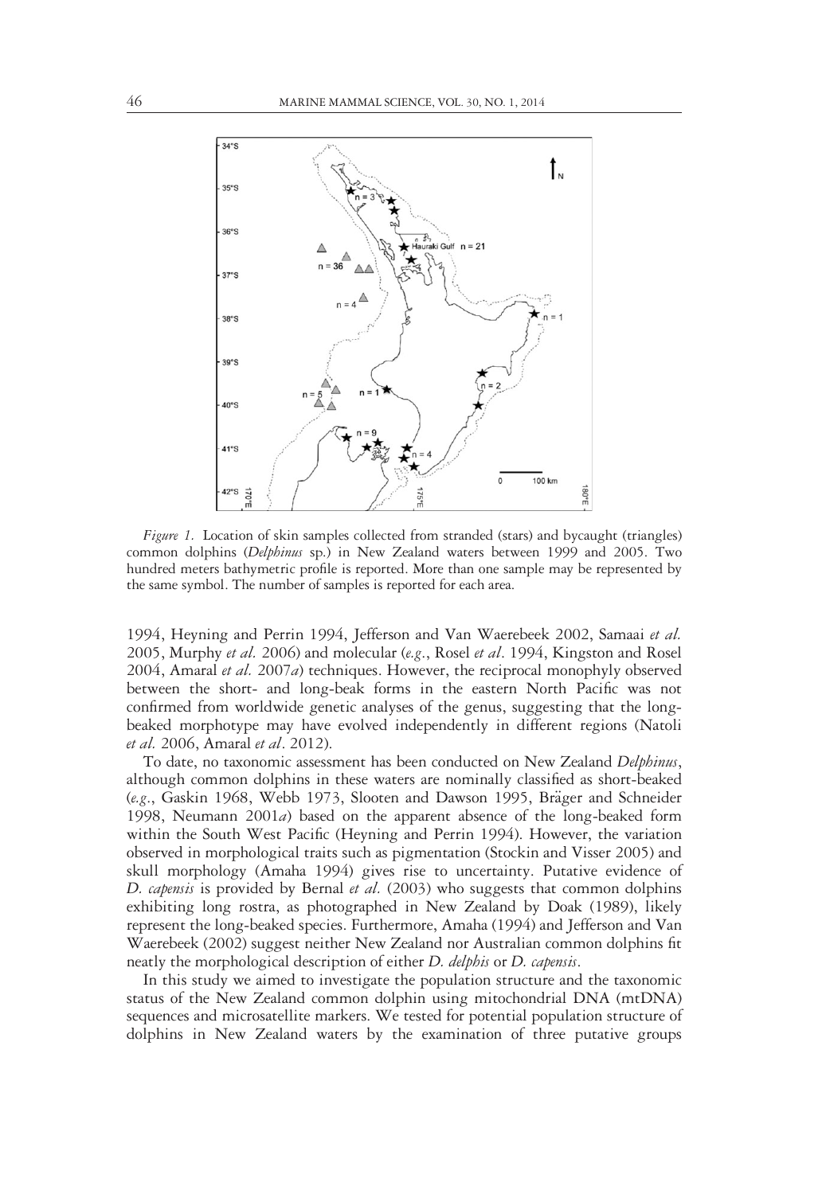

Figure 1. Location of skin samples collected from stranded (stars) and bycaught (triangles) common dolphins (Delphinus sp.) in New Zealand waters between 1999 and 2005. Two hundred meters bathymetric profile is reported. More than one sample may be represented by the same symbol. The number of samples is reported for each area.

1994, Heyning and Perrin 1994, Jefferson and Van Waerebeek 2002, Samaai et al. 2005, Murphy *et al.* 2006) and molecular (e.g., Rosel *et al.* 1994, Kingston and Rosel 2004, Amaral et al. 2007a) techniques. However, the reciprocal monophyly observed between the short- and long-beak forms in the eastern North Pacific was not confirmed from worldwide genetic analyses of the genus, suggesting that the longbeaked morphotype may have evolved independently in different regions (Natoli et al. 2006, Amaral et al. 2012).

To date, no taxonomic assessment has been conducted on New Zealand Delphinus, although common dolphins in these waters are nominally classified as short-beaked (e.g., Gaskin 1968, Webb 1973, Slooten and Dawson 1995, Bräger and Schneider 1998, Neumann 2001a) based on the apparent absence of the long-beaked form within the South West Pacific (Heyning and Perrin 1994). However, the variation observed in morphological traits such as pigmentation (Stockin and Visser 2005) and skull morphology (Amaha 1994) gives rise to uncertainty. Putative evidence of D. capensis is provided by Bernal et al.  $(2003)$  who suggests that common dolphins exhibiting long rostra, as photographed in New Zealand by Doak (1989), likely represent the long-beaked species. Furthermore, Amaha (1994) and Jefferson and Van Waerebeek (2002) suggest neither New Zealand nor Australian common dolphins fit neatly the morphological description of either *D. delphis* or *D. capensis*.

In this study we aimed to investigate the population structure and the taxonomic status of the New Zealand common dolphin using mitochondrial DNA (mtDNA) sequences and microsatellite markers. We tested for potential population structure of dolphins in New Zealand waters by the examination of three putative groups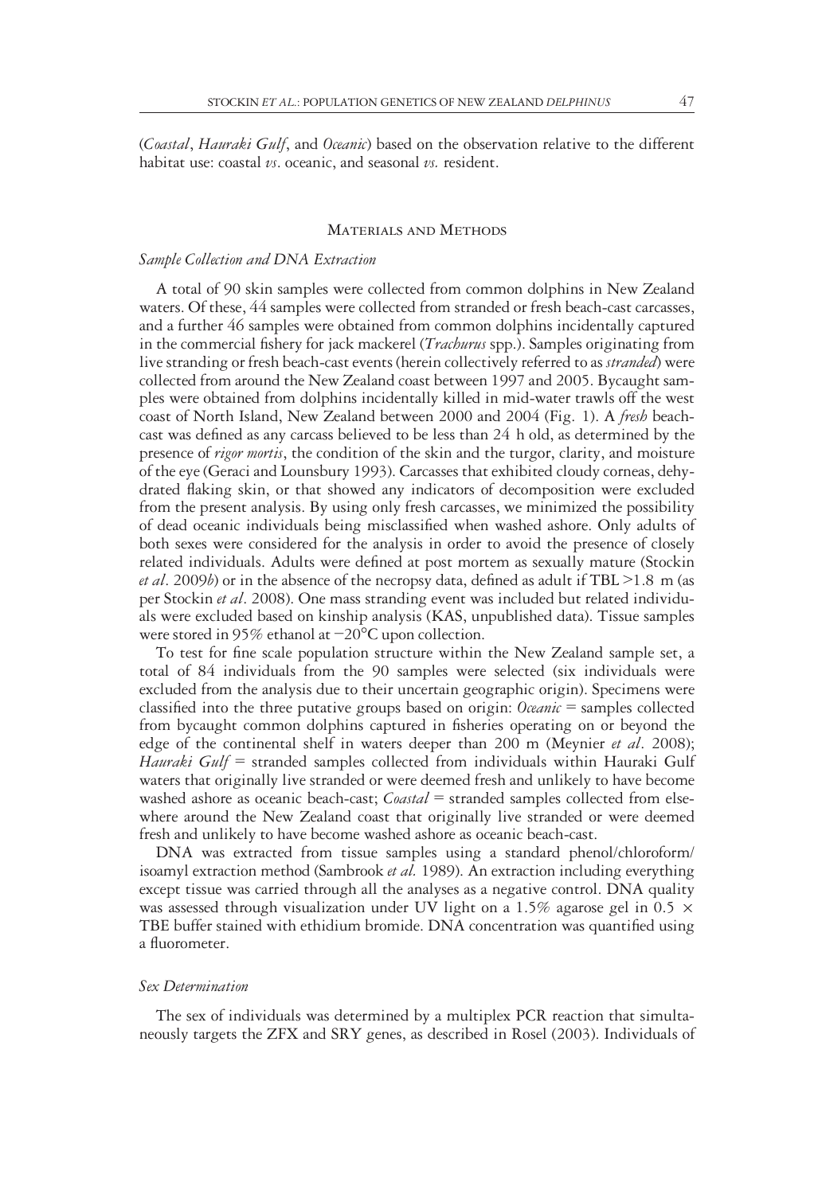(Coastal, Hauraki Gulf, and Oceanic) based on the observation relative to the different habitat use: coastal  $vs.$  oceanic, and seasonal  $vs.$  resident.

#### Materials and Methods

# Sample Collection and DNA Extraction

A total of 90 skin samples were collected from common dolphins in New Zealand waters. Of these, 44 samples were collected from stranded or fresh beach-cast carcasses, and a further 46 samples were obtained from common dolphins incidentally captured in the commercial fishery for jack mackerel (Trachurus spp.). Samples originating from live stranding or fresh beach-cast events (herein collectively referred to as *stranded*) were collected from around the New Zealand coast between 1997 and 2005. Bycaught samples were obtained from dolphins incidentally killed in mid-water trawls off the west coast of North Island, New Zealand between 2000 and 2004 (Fig. 1). A fresh beachcast was defined as any carcass believed to be less than 24 h old, as determined by the presence of *rigor mortis*, the condition of the skin and the turgor, clarity, and moisture of the eye (Geraci and Lounsbury 1993). Carcasses that exhibited cloudy corneas, dehydrated flaking skin, or that showed any indicators of decomposition were excluded from the present analysis. By using only fresh carcasses, we minimized the possibility of dead oceanic individuals being misclassified when washed ashore. Only adults of both sexes were considered for the analysis in order to avoid the presence of closely related individuals. Adults were defined at post mortem as sexually mature (Stockin *et al.* 2009*b*) or in the absence of the necropsy data, defined as adult if TBL  $\geq$ 1.8 m (as per Stockin et al. 2008). One mass stranding event was included but related individuals were excluded based on kinship analysis (KAS, unpublished data). Tissue samples were stored in 95% ethanol at −20°C upon collection.

To test for fine scale population structure within the New Zealand sample set, a total of 84 individuals from the 90 samples were selected (six individuals were excluded from the analysis due to their uncertain geographic origin). Specimens were classified into the three putative groups based on origin: *Oceanic* = samples collected from bycaught common dolphins captured in fisheries operating on or beyond the edge of the continental shelf in waters deeper than 200 m (Meynier et al. 2008); Hauraki Gulf = stranded samples collected from individuals within Hauraki Gulf waters that originally live stranded or were deemed fresh and unlikely to have become washed ashore as oceanic beach-cast; *Coastal* = stranded samples collected from elsewhere around the New Zealand coast that originally live stranded or were deemed fresh and unlikely to have become washed ashore as oceanic beach-cast.

DNA was extracted from tissue samples using a standard phenol/chloroform/ isoamyl extraction method (Sambrook et al. 1989). An extraction including everything except tissue was carried through all the analyses as a negative control. DNA quality was assessed through visualization under UV light on a 1.5% agarose gel in 0.5  $\times$ TBE buffer stained with ethidium bromide. DNA concentration was quantified using a fluorometer.

#### Sex Determination

The sex of individuals was determined by a multiplex PCR reaction that simultaneously targets the ZFX and SRY genes, as described in Rosel (2003). Individuals of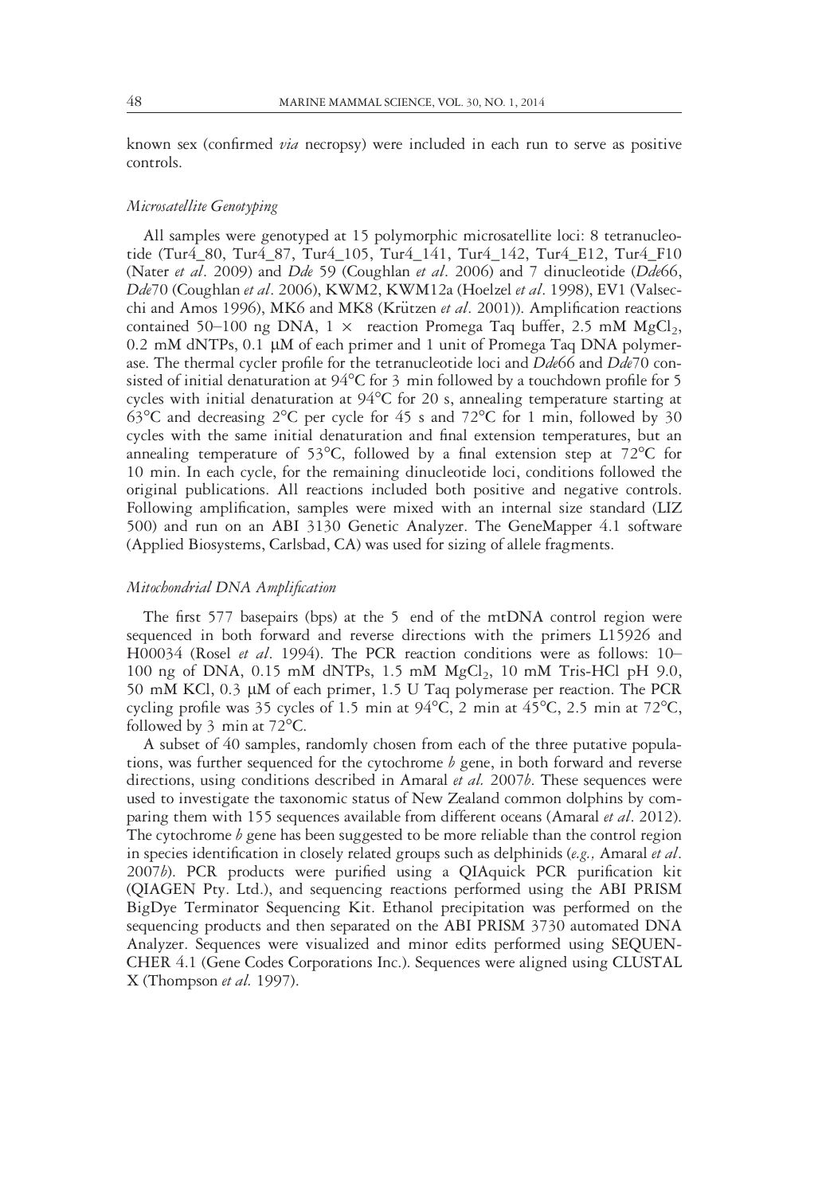known sex (confirmed via necropsy) were included in each run to serve as positive controls.

# Microsatellite Genotyping

All samples were genotyped at 15 polymorphic microsatellite loci: 8 tetranucleotide (Tur4\_80, Tur4\_87, Tur4\_105, Tur4\_141, Tur4\_142, Tur4\_E12, Tur4\_F10 (Nater et al. 2009) and Dde 59 (Coughlan et al. 2006) and 7 dinucleotide (Dde66, Dde70 (Coughlan et al. 2006), KWM2, KWM12a (Hoelzel et al. 1998), EV1 (Valsecchi and Amos 1996), MK6 and MK8 (Krützen et al. 2001)). Amplification reactions contained 50–100 ng DNA,  $1 \times$  reaction Promega Taq buffer, 2.5 mM MgCl<sub>2</sub>, 0.2 mM dNTPs, 0.1 µM of each primer and 1 unit of Promega Taq DNA polymerase. The thermal cycler profile for the tetranucleotide loci and  $Dde66$  and  $Dde70$  consisted of initial denaturation at 94°C for 3 min followed by a touchdown profile for 5 cycles with initial denaturation at  $94^{\circ}$ C for 20 s, annealing temperature starting at  $63^{\circ}$ C and decreasing  $2^{\circ}$ C per cycle for 45 s and  $72^{\circ}$ C for 1 min, followed by 30 cycles with the same initial denaturation and final extension temperatures, but an annealing temperature of 53°C, followed by a final extension step at 72°C for 10 min. In each cycle, for the remaining dinucleotide loci, conditions followed the original publications. All reactions included both positive and negative controls. Following amplification, samples were mixed with an internal size standard (LIZ 500) and run on an ABI 3130 Genetic Analyzer. The GeneMapper 4.1 software (Applied Biosystems, Carlsbad, CA) was used for sizing of allele fragments.

# Mitochondrial DNA Amplification

The first 577 basepairs (bps) at the 5 end of the mtDNA control region were sequenced in both forward and reverse directions with the primers L15926 and H00034 (Rosel et al. 1994). The PCR reaction conditions were as follows: 10-100 ng of DNA, 0.15 mM dNTPs, 1.5 mM  $MgCl<sub>2</sub>$ , 10 mM Tris-HCl pH 9.0, 50 mM KCl, 0.3 µM of each primer, 1.5 U Taq polymerase per reaction. The PCR cycling profile was 35 cycles of 1.5 min at  $94^{\circ}$ C, 2 min at  $45^{\circ}$ C, 2.5 min at  $72^{\circ}$ C, followed by 3 min at 72°C.

A subset of 40 samples, randomly chosen from each of the three putative populations, was further sequenced for the cytochrome  $b$  gene, in both forward and reverse directions, using conditions described in Amaral et al. 2007b. These sequences were used to investigate the taxonomic status of New Zealand common dolphins by comparing them with 155 sequences available from different oceans (Amaral et al. 2012). The cytochrome  $b$  gene has been suggested to be more reliable than the control region in species identification in closely related groups such as delphinids ( $e.g.,$  Amaral et al. 2007b). PCR products were purified using a QIAquick PCR purification kit (QIAGEN Pty. Ltd.), and sequencing reactions performed using the ABI PRISM BigDye Terminator Sequencing Kit. Ethanol precipitation was performed on the sequencing products and then separated on the ABI PRISM 3730 automated DNA Analyzer. Sequences were visualized and minor edits performed using SEQUEN-CHER 4.1 (Gene Codes Corporations Inc.). Sequences were aligned using CLUSTAL X (Thompson et al. 1997).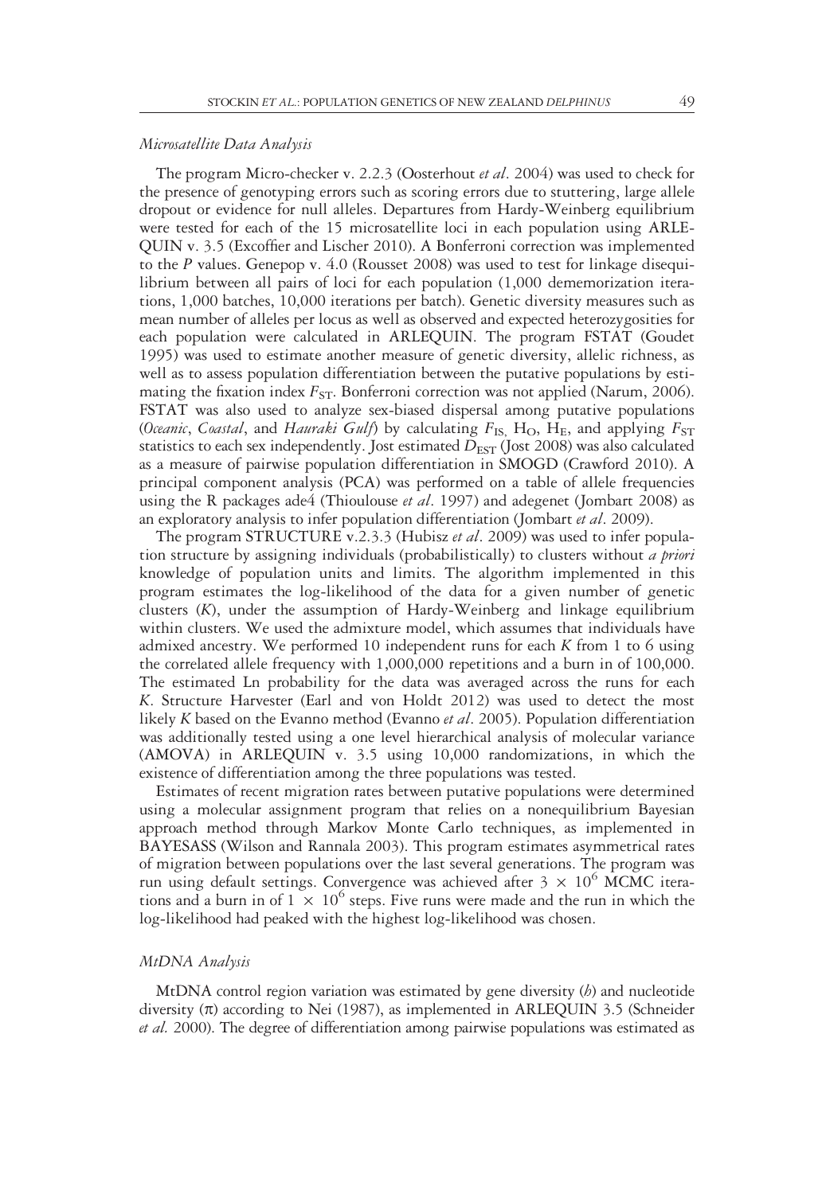#### Microsatellite Data Analysis

The program Micro-checker v. 2.2.3 (Oosterhout *et al.* 2004) was used to check for the presence of genotyping errors such as scoring errors due to stuttering, large allele dropout or evidence for null alleles. Departures from Hardy-Weinberg equilibrium were tested for each of the 15 microsatellite loci in each population using ARLE-QUIN v. 3.5 (Excoffier and Lischer 2010). A Bonferroni correction was implemented to the P values. Genepop v. 4.0 (Rousset 2008) was used to test for linkage disequilibrium between all pairs of loci for each population (1,000 dememorization iterations, 1,000 batches, 10,000 iterations per batch). Genetic diversity measures such as mean number of alleles per locus as well as observed and expected heterozygosities for each population were calculated in ARLEQUIN. The program FSTAT (Goudet 1995) was used to estimate another measure of genetic diversity, allelic richness, as well as to assess population differentiation between the putative populations by estimating the fixation index  $F_{ST}$ . Bonferroni correction was not applied (Narum, 2006). FSTAT was also used to analyze sex-biased dispersal among putative populations (Oceanic, Coastal, and Hauraki Gulf) by calculating  $F_{\text{IS}}$ , H<sub>O</sub>, H<sub>E</sub>, and applying  $F_{\text{ST}}$ statistics to each sex independently. Jost estimated  $D_{\text{EST}}$  (Jost 2008) was also calculated as a measure of pairwise population differentiation in SMOGD (Crawford 2010). A principal component analysis (PCA) was performed on a table of allele frequencies using the R packages ade4 (Thioulouse *et al.* 1997) and adegenet (Jombart 2008) as an exploratory analysis to infer population differentiation (Jombart et al. 2009).

The program STRUCTURE v.2.3.3 (Hubisz et al. 2009) was used to infer population structure by assigning individuals (probabilistically) to clusters without a priori knowledge of population units and limits. The algorithm implemented in this program estimates the log-likelihood of the data for a given number of genetic clusters (K), under the assumption of Hardy-Weinberg and linkage equilibrium within clusters. We used the admixture model, which assumes that individuals have admixed ancestry. We performed 10 independent runs for each  $K$  from 1 to 6 using the correlated allele frequency with 1,000,000 repetitions and a burn in of 100,000. The estimated Ln probability for the data was averaged across the runs for each K. Structure Harvester (Earl and von Holdt 2012) was used to detect the most likely K based on the Evanno method (Evanno *et al.* 2005). Population differentiation was additionally tested using a one level hierarchical analysis of molecular variance (AMOVA) in ARLEQUIN v. 3.5 using 10,000 randomizations, in which the existence of differentiation among the three populations was tested.

Estimates of recent migration rates between putative populations were determined using a molecular assignment program that relies on a nonequilibrium Bayesian approach method through Markov Monte Carlo techniques, as implemented in BAYESASS (Wilson and Rannala 2003). This program estimates asymmetrical rates of migration between populations over the last several generations. The program was run using default settings. Convergence was achieved after  $3 \times 10^6$  MCMC iterations and a burn in of  $1 \times 10^6$  steps. Five runs were made and the run in which the log-likelihood had peaked with the highest log-likelihood was chosen.

# MtDNA Analysis

MtDNA control region variation was estimated by gene diversity  $(b)$  and nucleotide diversity  $(\pi)$  according to Nei (1987), as implemented in ARLEQUIN 3.5 (Schneider et al. 2000). The degree of differentiation among pairwise populations was estimated as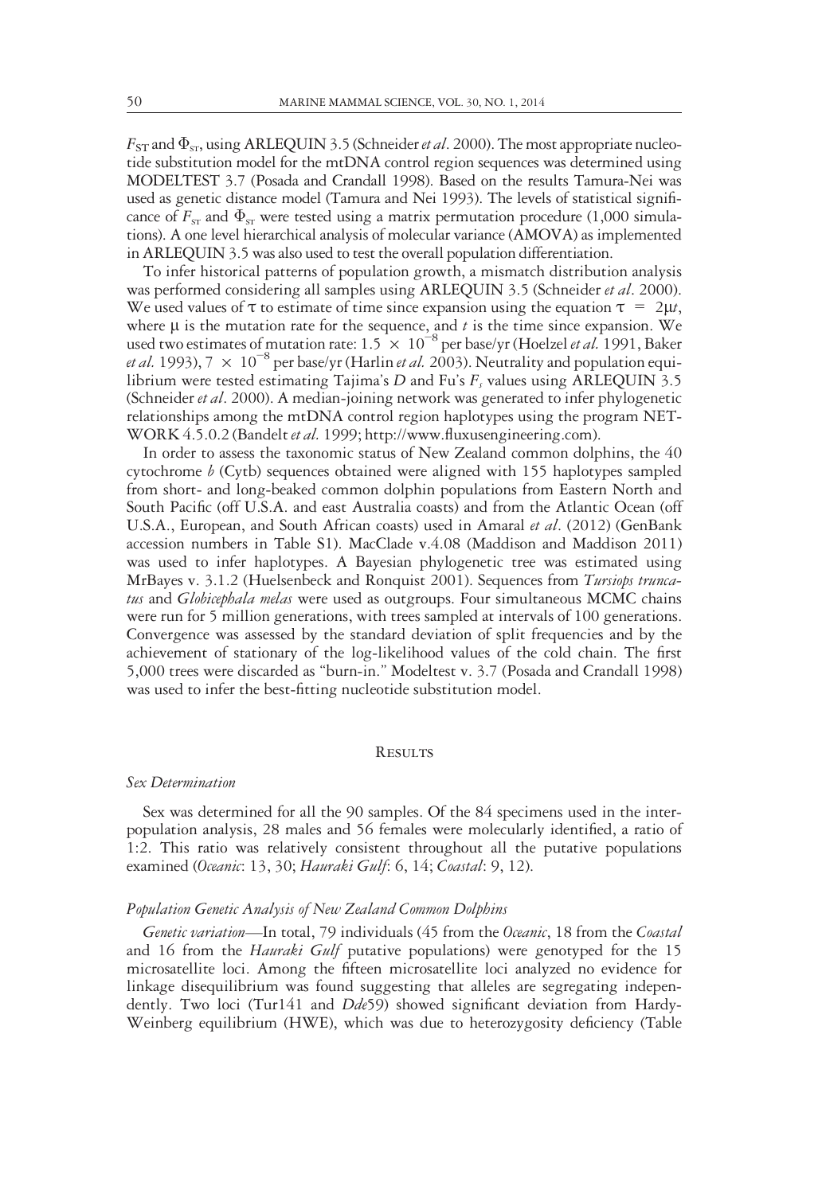$F_{ST}$  and  $\Phi_{ST}$ , using ARLEQUIN 3.5 (Schneider *et al.* 2000). The most appropriate nucleotide substitution model for the mtDNA control region sequences was determined using MODELTEST 3.7 (Posada and Crandall 1998). Based on the results Tamura-Nei was used as genetic distance model (Tamura and Nei 1993). The levels of statistical significance of  $F_{ST}$  and  $\Phi_{ST}$  were tested using a matrix permutation procedure (1,000 simulations). A one level hierarchical analysis of molecular variance (AMOVA) as implemented in ARLEQUIN 3.5 was also used to test the overall population differentiation.

To infer historical patterns of population growth, a mismatch distribution analysis was performed considering all samples using ARLEQUIN 3.5 (Schneider et al. 2000). We used values of  $\tau$  to estimate of time since expansion using the equation  $\tau = 2\mu t$ , where  $\mu$  is the mutation rate for the sequence, and t is the time since expansion. We used two estimates of mutation rate:  $1.5 \times 10^{-8}$  per base/yr (Hoelzel *et al.* 1991, Baker et al. 1993),  $7 \times 10^{-8}$  per base/yr (Harlin et al. 2003). Neutrality and population equilibrium were tested estimating Tajima's  $D$  and Fu's  $F_s$  values using ARLEQUIN 3.5 (Schneider et al. 2000). A median-joining network was generated to infer phylogenetic relationships among the mtDNA control region haplotypes using the program NET-WORK 4.5.0.2 (Bandelt et al. 1999; http://www.fluxusengineering.com).

In order to assess the taxonomic status of New Zealand common dolphins, the 40 cytochrome  $b$  (Cytb) sequences obtained were aligned with 155 haplotypes sampled from short- and long-beaked common dolphin populations from Eastern North and South Pacific (off U.S.A. and east Australia coasts) and from the Atlantic Ocean (off U.S.A., European, and South African coasts) used in Amaral et al. (2012) (GenBank accession numbers in Table S1). MacClade v.4.08 (Maddison and Maddison 2011) was used to infer haplotypes. A Bayesian phylogenetic tree was estimated using MrBayes v. 3.1.2 (Huelsenbeck and Ronquist 2001). Sequences from Tursiops truncatus and Globicephala melas were used as outgroups. Four simultaneous MCMC chains were run for 5 million generations, with trees sampled at intervals of 100 generations. Convergence was assessed by the standard deviation of split frequencies and by the achievement of stationary of the log-likelihood values of the cold chain. The first 5,000 trees were discarded as "burn-in." Modeltest v. 3.7 (Posada and Crandall 1998) was used to infer the best-fitting nucleotide substitution model.

# **RESULTS**

#### Sex Determination

Sex was determined for all the 90 samples. Of the 84 specimens used in the interpopulation analysis, 28 males and 56 females were molecularly identified, a ratio of 1:2. This ratio was relatively consistent throughout all the putative populations examined (Oceanic: 13, 30; Hauraki Gulf: 6, 14; Coastal: 9, 12).

#### Population Genetic Analysis of New Zealand Common Dolphins

Genetic variation—In total, 79 individuals (45 from the Oceanic, 18 from the Coastal and 16 from the *Hauraki Gulf* putative populations) were genotyped for the 15 microsatellite loci. Among the fifteen microsatellite loci analyzed no evidence for linkage disequilibrium was found suggesting that alleles are segregating independently. Two loci (Tur141 and *Dde*59) showed significant deviation from Hardy-Weinberg equilibrium (HWE), which was due to heterozygosity deficiency (Table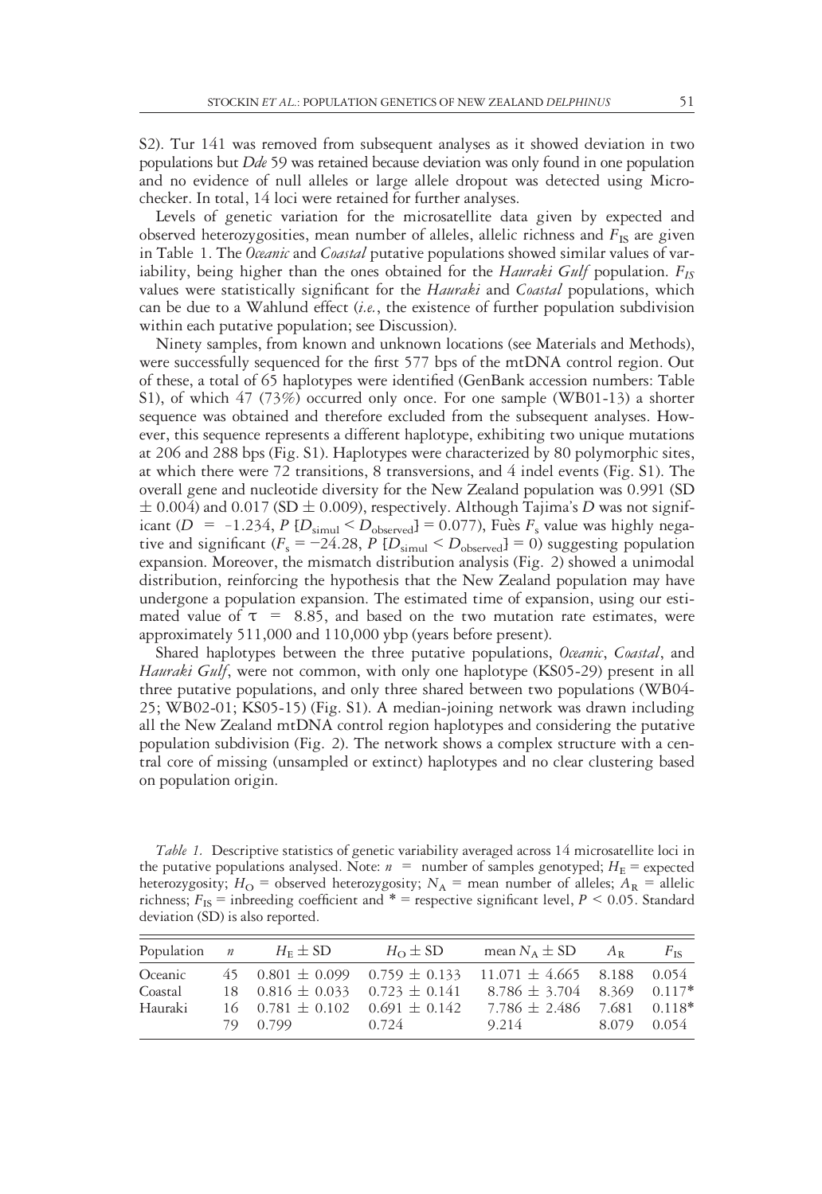S2). Tur 141 was removed from subsequent analyses as it showed deviation in two populations but Dde 59 was retained because deviation was only found in one population and no evidence of null alleles or large allele dropout was detected using Microchecker. In total, 14 loci were retained for further analyses.

Levels of genetic variation for the microsatellite data given by expected and observed heterozygosities, mean number of alleles, allelic richness and  $F_{IS}$  are given in Table 1. The *Oceanic* and *Coastal* putative populations showed similar values of variability, being higher than the ones obtained for the *Hauraki Gulf* population.  $F_{IS}$ values were statistically significant for the Hauraki and Coastal populations, which can be due to a Wahlund effect  $(i.e.,$  the existence of further population subdivision within each putative population; see Discussion).

Ninety samples, from known and unknown locations (see Materials and Methods), were successfully sequenced for the first 577 bps of the mtDNA control region. Out of these, a total of 65 haplotypes were identified (GenBank accession numbers: Table S1), of which 47 (73%) occurred only once. For one sample (WB01-13) a shorter sequence was obtained and therefore excluded from the subsequent analyses. However, this sequence represents a different haplotype, exhibiting two unique mutations at 206 and 288 bps (Fig. S1). Haplotypes were characterized by 80 polymorphic sites, at which there were 72 transitions, 8 transversions, and 4 indel events (Fig. S1). The overall gene and nucleotide diversity for the New Zealand population was 0.991 (SD  $\pm$  0.004) and 0.017 (SD  $\pm$  0.009), respectively. Although Tajima's D was not significant (D = -1.234, P  $[D_{\text{simul}} < D_{\text{observed}}] = 0.077$ ), Fuès  $F_s$  value was highly negative and significant ( $F_s = -24.28$ ,  $P[D_{simul} < D_{observed}] = 0$ ) suggesting population expansion. Moreover, the mismatch distribution analysis (Fig. 2) showed a unimodal distribution, reinforcing the hypothesis that the New Zealand population may have undergone a population expansion. The estimated time of expansion, using our estimated value of  $\tau = 8.85$ , and based on the two mutation rate estimates, were approximately 511,000 and 110,000 ybp (years before present).

Shared haplotypes between the three putative populations, Oceanic, Coastal, and Hauraki Gulf, were not common, with only one haplotype (KS05-29) present in all three putative populations, and only three shared between two populations (WB04- 25; WB02-01; KS05-15) (Fig. S1). A median-joining network was drawn including all the New Zealand mtDNA control region haplotypes and considering the putative population subdivision (Fig. 2). The network shows a complex structure with a central core of missing (unsampled or extinct) haplotypes and no clear clustering based on population origin.

Table 1. Descriptive statistics of genetic variability averaged across 14 microsatellite loci in the putative populations analysed. Note:  $n =$  number of samples genotyped;  $H_E$  = expected heterozygosity;  $H_O$  = observed heterozygosity;  $N_A$  = mean number of alleles;  $A_R$  = allelic richness;  $F_{IS}$  = inbreeding coefficient and \* = respective significant level,  $P \le 0.05$ . Standard deviation (SD) is also reported.

| Population $n$     | $H_F \pm SD$                             | $H_0 \pm SD$ | mean $N_A \pm SD$                                                                                                                                     | $A_{\rm R}$ | $F_{\text{IS}}$ |
|--------------------|------------------------------------------|--------------|-------------------------------------------------------------------------------------------------------------------------------------------------------|-------------|-----------------|
| Oceanic<br>Coastal |                                          |              | 45 $0.801 \pm 0.099$ $0.759 \pm 0.133$ $11.071 \pm 4.665$ 8.188 $0.054$<br>18 $0.816 \pm 0.033$ $0.723 \pm 0.141$ $8.786 \pm 3.704$ $8.369$ $0.117^*$ |             |                 |
| Hauraki            | $16$ $0.781 \pm 0.102$ $0.691 \pm 0.142$ |              | $7.786 \pm 2.486$ 7.681 0.118*                                                                                                                        |             |                 |
|                    | 79 0.799                                 | 0.724        | 9.214 8.079 0.054                                                                                                                                     |             |                 |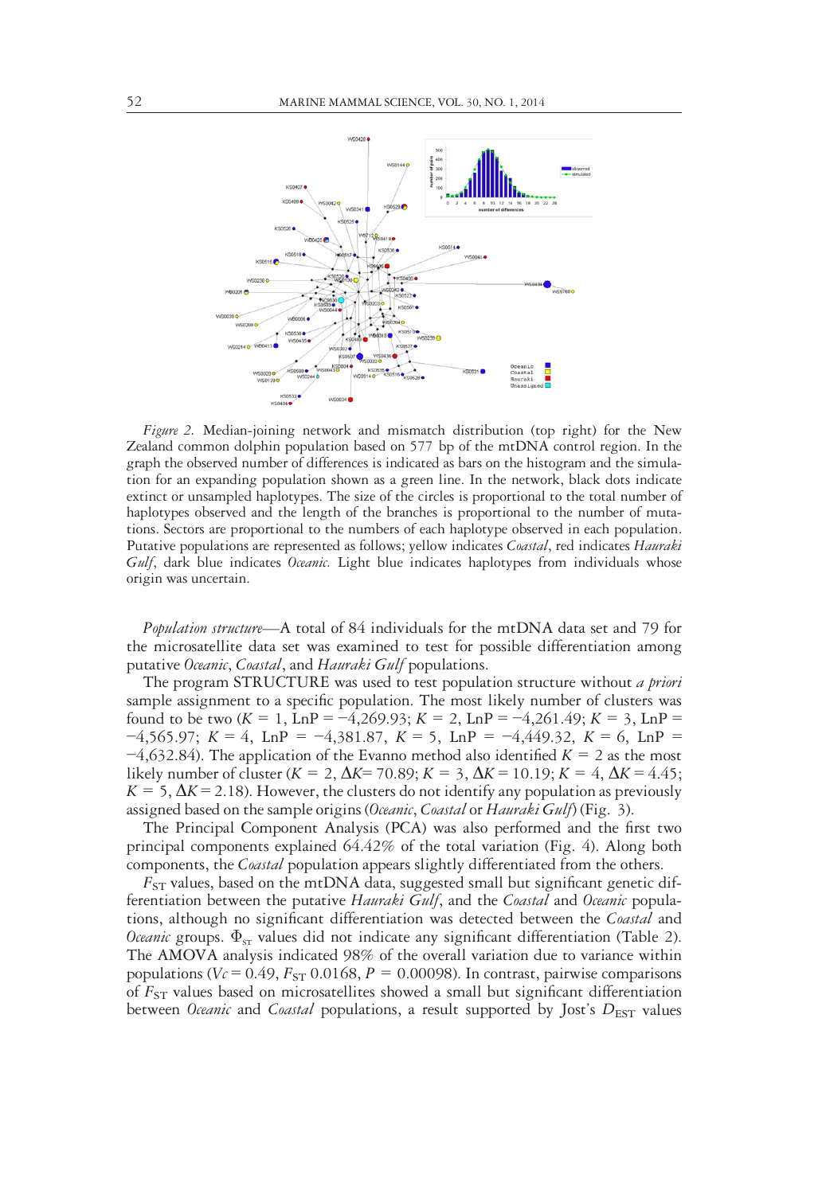

Figure 2. Median-joining network and mismatch distribution (top right) for the New Zealand common dolphin population based on 577 bp of the mtDNA control region. In the graph the observed number of differences is indicated as bars on the histogram and the simulation for an expanding population shown as a green line. In the network, black dots indicate extinct or unsampled haplotypes. The size of the circles is proportional to the total number of haplotypes observed and the length of the branches is proportional to the number of mutations. Sectors are proportional to the numbers of each haplotype observed in each population. Putative populations are represented as follows; yellow indicates Coastal, red indicates Hauraki Gulf, dark blue indicates Oceanic. Light blue indicates haplotypes from individuals whose origin was uncertain.

Population structure—A total of 84 individuals for the mtDNA data set and 79 for the microsatellite data set was examined to test for possible differentiation among putative Oceanic, Coastal, and Hauraki Gulf populations.

The program STRUCTURE was used to test population structure without a priori sample assignment to a specific population. The most likely number of clusters was found to be two  $(K = 1, \text{Ln}P = -4,269.93; K = 2, \text{Ln}P = -4,261.49; K = 3, \text{Ln}P =$  $-4,565.97$ ; K = 4, LnP =  $-4,381.87$ , K = 5, LnP =  $-4,449.32$ , K = 6, LnP =  $-4,632.84$ ). The application of the Evanno method also identified  $K = 2$  as the most likely number of cluster ( $K = 2$ ,  $\Delta K = 70.89$ ;  $K = 3$ ,  $\Delta K = 10.19$ ;  $K = 4$ ,  $\Delta K = 4.45$ ;  $K = 5$ ,  $\Delta K = 2.18$ ). However, the clusters do not identify any population as previously assigned based on the sample origins (Oceanic, Coastal or Hauraki Gulf) (Fig. 3).

The Principal Component Analysis (PCA) was also performed and the first two principal components explained 64.42% of the total variation (Fig. 4). Along both components, the Coastal population appears slightly differentiated from the others.

 $F_{ST}$  values, based on the mtDNA data, suggested small but significant genetic differentiation between the putative Hauraki Gulf, and the Coastal and Oceanic populations, although no significant differentiation was detected between the Coastal and *Oceanic* groups.  $\Phi_{ST}$  values did not indicate any significant differentiation (Table 2). The AMOVA analysis indicated 98% of the overall variation due to variance within populations ( $V_c = 0.49$ ,  $F_{ST}$  0.0168,  $P = 0.00098$ ). In contrast, pairwise comparisons of  $F_{ST}$  values based on microsatellites showed a small but significant differentiation between *Oceanic* and *Coastal* populations, a result supported by Jost's  $D_{\text{EST}}$  values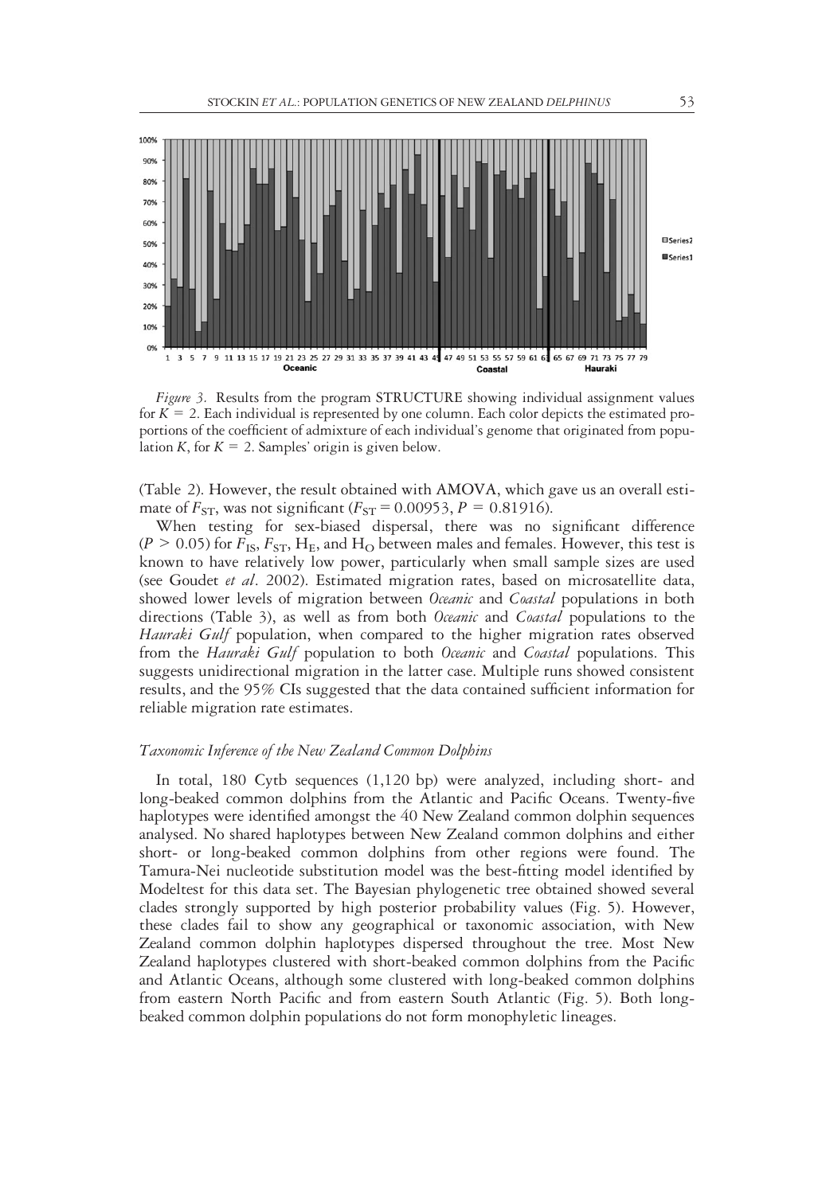

Figure 3. Results from the program STRUCTURE showing individual assignment values for  $K = 2$ . Each individual is represented by one column. Each color depicts the estimated proportions of the coefficient of admixture of each individual's genome that originated from population K, for  $K = 2$ . Samples' origin is given below.

(Table 2). However, the result obtained with AMOVA, which gave us an overall estimate of  $F_{ST}$ , was not significant ( $F_{ST} = 0.00953$ ,  $P = 0.81916$ ).

When testing for sex-biased dispersal, there was no significant difference  $(P > 0.05)$  for  $F_{\text{IS}}$ ,  $F_{\text{ST}}$ ,  $H_{\text{E}}$ , and  $H_{\text{O}}$  between males and females. However, this test is known to have relatively low power, particularly when small sample sizes are used (see Goudet et al. 2002). Estimated migration rates, based on microsatellite data, showed lower levels of migration between *Oceanic* and *Coastal* populations in both directions (Table 3), as well as from both *Oceanic* and *Coastal* populations to the Hauraki Gulf population, when compared to the higher migration rates observed from the Hauraki Gulf population to both Oceanic and Coastal populations. This suggests unidirectional migration in the latter case. Multiple runs showed consistent results, and the 95% CIs suggested that the data contained sufficient information for reliable migration rate estimates.

#### Taxonomic Inference of the New Zealand Common Dolphins

In total, 180 Cytb sequences (1,120 bp) were analyzed, including short- and long-beaked common dolphins from the Atlantic and Pacific Oceans. Twenty-five haplotypes were identified amongst the 40 New Zealand common dolphin sequences analysed. No shared haplotypes between New Zealand common dolphins and either short- or long-beaked common dolphins from other regions were found. The Tamura-Nei nucleotide substitution model was the best-fitting model identified by Modeltest for this data set. The Bayesian phylogenetic tree obtained showed several clades strongly supported by high posterior probability values (Fig. 5). However, these clades fail to show any geographical or taxonomic association, with New Zealand common dolphin haplotypes dispersed throughout the tree. Most New Zealand haplotypes clustered with short-beaked common dolphins from the Pacific and Atlantic Oceans, although some clustered with long-beaked common dolphins from eastern North Pacific and from eastern South Atlantic (Fig. 5). Both longbeaked common dolphin populations do not form monophyletic lineages.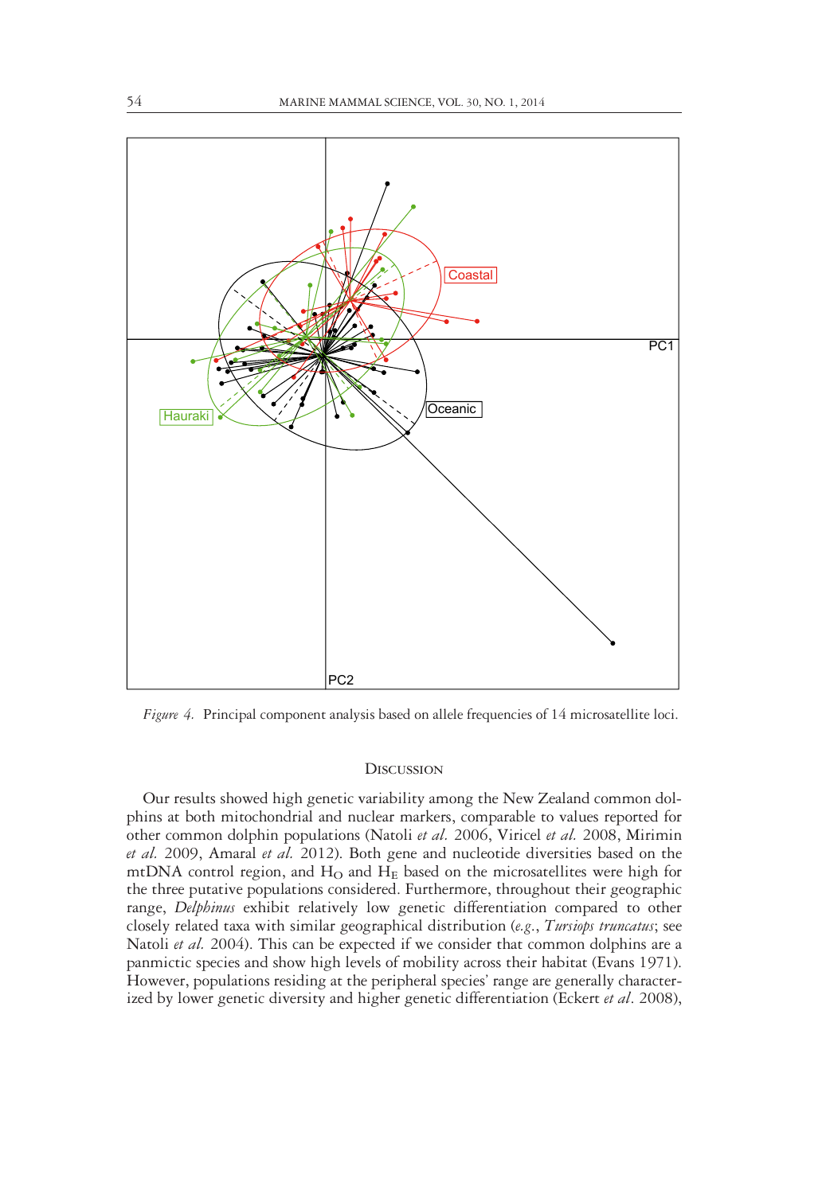

Figure 4. Principal component analysis based on allele frequencies of 14 microsatellite loci.

#### **DISCUSSION**

Our results showed high genetic variability among the New Zealand common dolphins at both mitochondrial and nuclear markers, comparable to values reported for other common dolphin populations (Natoli et al. 2006, Viricel et al. 2008, Mirimin et al. 2009, Amaral et al. 2012). Both gene and nucleotide diversities based on the mtDNA control region, and  $H_{\rm O}$  and  $H_{\rm E}$  based on the microsatellites were high for the three putative populations considered. Furthermore, throughout their geographic range, Delphinus exhibit relatively low genetic differentiation compared to other closely related taxa with similar geographical distribution (e.g., Tursiops truncatus; see Natoli et al. 2004). This can be expected if we consider that common dolphins are a panmictic species and show high levels of mobility across their habitat (Evans 1971). However, populations residing at the peripheral species' range are generally characterized by lower genetic diversity and higher genetic differentiation (Eckert et al. 2008),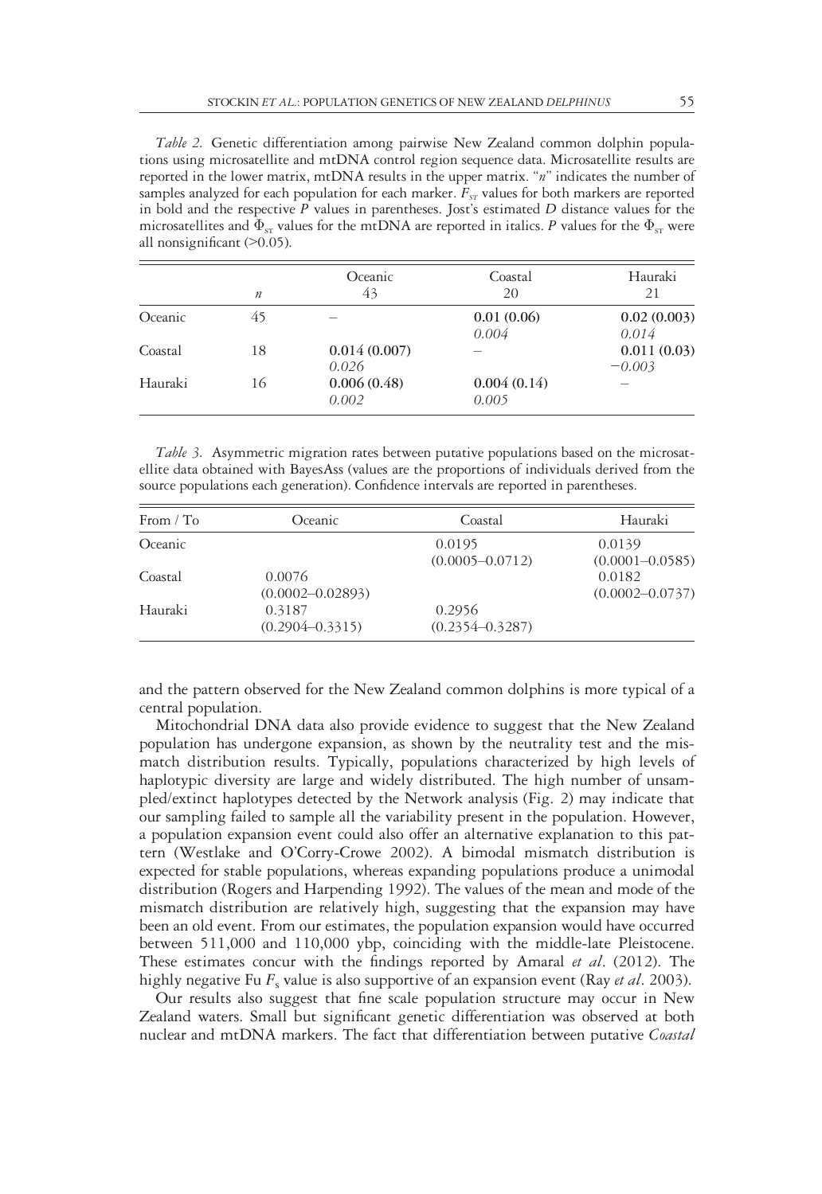Table 2. Genetic differentiation among pairwise New Zealand common dolphin populations using microsatellite and mtDNA control region sequence data. Microsatellite results are reported in the lower matrix, mtDNA results in the upper matrix. "n" indicates the number of samples analyzed for each population for each marker.  $F_{ST}$  values for both markers are reported in bold and the respective  $P$  values in parentheses. Jost's estimated  $D$  distance values for the microsatellites and  $\Phi_{ST}$  values for the mtDNA are reported in italics. P values for the  $\Phi_{ST}$  were all nonsignificant (>0.05).

|         | $\boldsymbol{n}$ | Oceanic<br>43         | Coastal<br>20        | Hauraki<br>21           |
|---------|------------------|-----------------------|----------------------|-------------------------|
| Oceanic | 45               | -                     | 0.01(0.06)           | 0.02(0.003)             |
|         |                  |                       | 0.004                | 0.014                   |
| Coastal | 18               | 0.014(0.007)<br>0.026 | -                    | 0.011(0.03)<br>$-0.003$ |
| Hauraki | 16               | 0.006(0.48)<br>0.002  | 0.004(0.14)<br>0.005 |                         |

Table 3. Asymmetric migration rates between putative populations based on the microsatellite data obtained with BayesAss (values are the proportions of individuals derived from the source populations each generation). Confidence intervals are reported in parentheses.

| From $/$ To | Oceanic                        | Coastal                       | Hauraki                       |
|-------------|--------------------------------|-------------------------------|-------------------------------|
| Oceanic     |                                | 0.0195<br>$(0.0005 - 0.0712)$ | 0.0139<br>$(0.0001 - 0.0585)$ |
| Coastal     | 0.0076<br>$(0.0002 - 0.02893)$ |                               | 0.0182<br>$(0.0002 - 0.0737)$ |
| Hauraki     | 0.3187<br>$(0.2904 - 0.3315)$  | 0.2956<br>$(0.2354 - 0.3287)$ |                               |

and the pattern observed for the New Zealand common dolphins is more typical of a central population.

Mitochondrial DNA data also provide evidence to suggest that the New Zealand population has undergone expansion, as shown by the neutrality test and the mismatch distribution results. Typically, populations characterized by high levels of haplotypic diversity are large and widely distributed. The high number of unsampled/extinct haplotypes detected by the Network analysis (Fig. 2) may indicate that our sampling failed to sample all the variability present in the population. However, a population expansion event could also offer an alternative explanation to this pattern (Westlake and O'Corry-Crowe 2002). A bimodal mismatch distribution is expected for stable populations, whereas expanding populations produce a unimodal distribution (Rogers and Harpending 1992). The values of the mean and mode of the mismatch distribution are relatively high, suggesting that the expansion may have been an old event. From our estimates, the population expansion would have occurred between 511,000 and 110,000 ybp, coinciding with the middle-late Pleistocene. These estimates concur with the findings reported by Amaral *et al.* (2012). The highly negative Fu  $F_s$  value is also supportive of an expansion event (Ray *et al.* 2003).

Our results also suggest that fine scale population structure may occur in New Zealand waters. Small but significant genetic differentiation was observed at both nuclear and mtDNA markers. The fact that differentiation between putative Coastal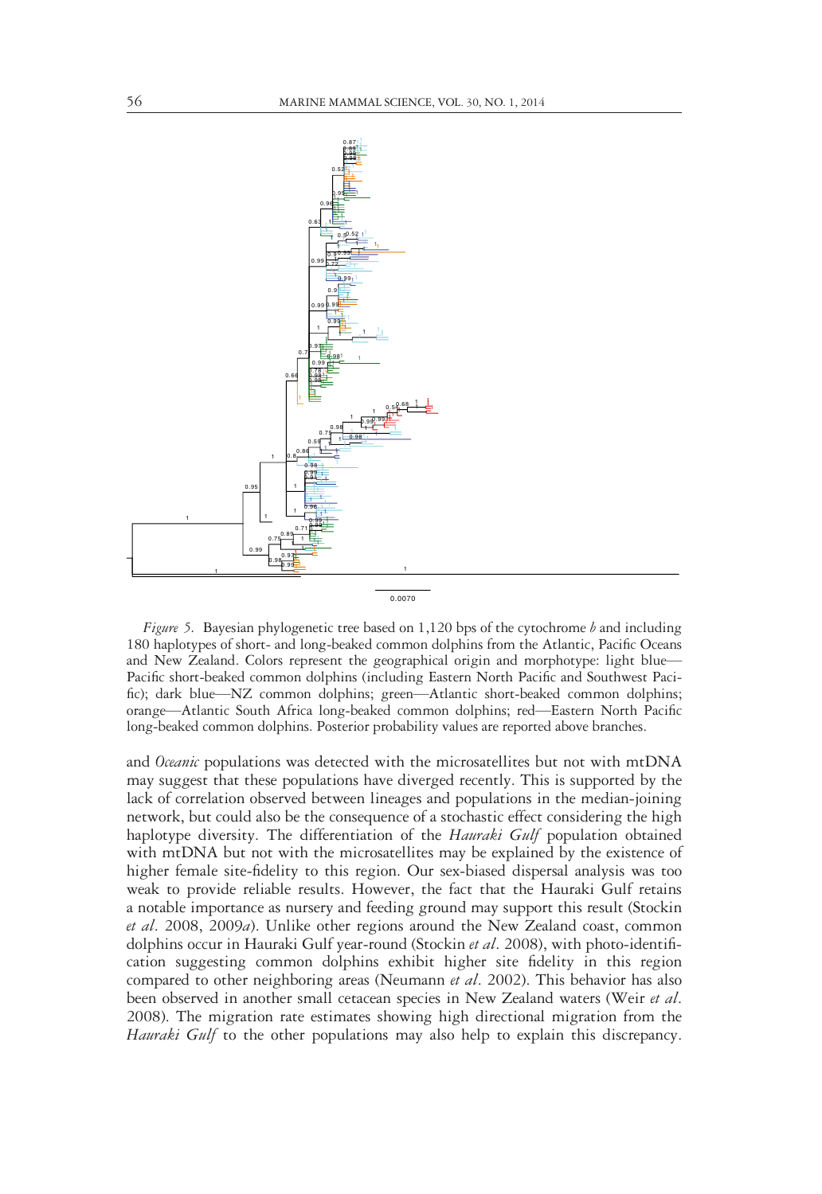

0.0070

Figure 5. Bayesian phylogenetic tree based on  $1,120$  bps of the cytochrome  $b$  and including 180 haplotypes of short- and long-beaked common dolphins from the Atlantic, Pacific Oceans and New Zealand. Colors represent the geographical origin and morphotype: light blue— Pacific short-beaked common dolphins (including Eastern North Pacific and Southwest Pacific); dark blue—NZ common dolphins; green—Atlantic short-beaked common dolphins; orange—Atlantic South Africa long-beaked common dolphins; red—Eastern North Pacific long-beaked common dolphins. Posterior probability values are reported above branches.

and Oceanic populations was detected with the microsatellites but not with mtDNA may suggest that these populations have diverged recently. This is supported by the lack of correlation observed between lineages and populations in the median-joining network, but could also be the consequence of a stochastic effect considering the high haplotype diversity. The differentiation of the *Hauraki Gulf* population obtained with mtDNA but not with the microsatellites may be explained by the existence of higher female site-fidelity to this region. Our sex-biased dispersal analysis was too weak to provide reliable results. However, the fact that the Hauraki Gulf retains a notable importance as nursery and feeding ground may support this result (Stockin et al. 2008, 2009a). Unlike other regions around the New Zealand coast, common dolphins occur in Hauraki Gulf year-round (Stockin et al. 2008), with photo-identification suggesting common dolphins exhibit higher site fidelity in this region compared to other neighboring areas (Neumann *et al.* 2002). This behavior has also been observed in another small cetacean species in New Zealand waters (Weir *et al.*) 2008). The migration rate estimates showing high directional migration from the Hauraki Gulf to the other populations may also help to explain this discrepancy.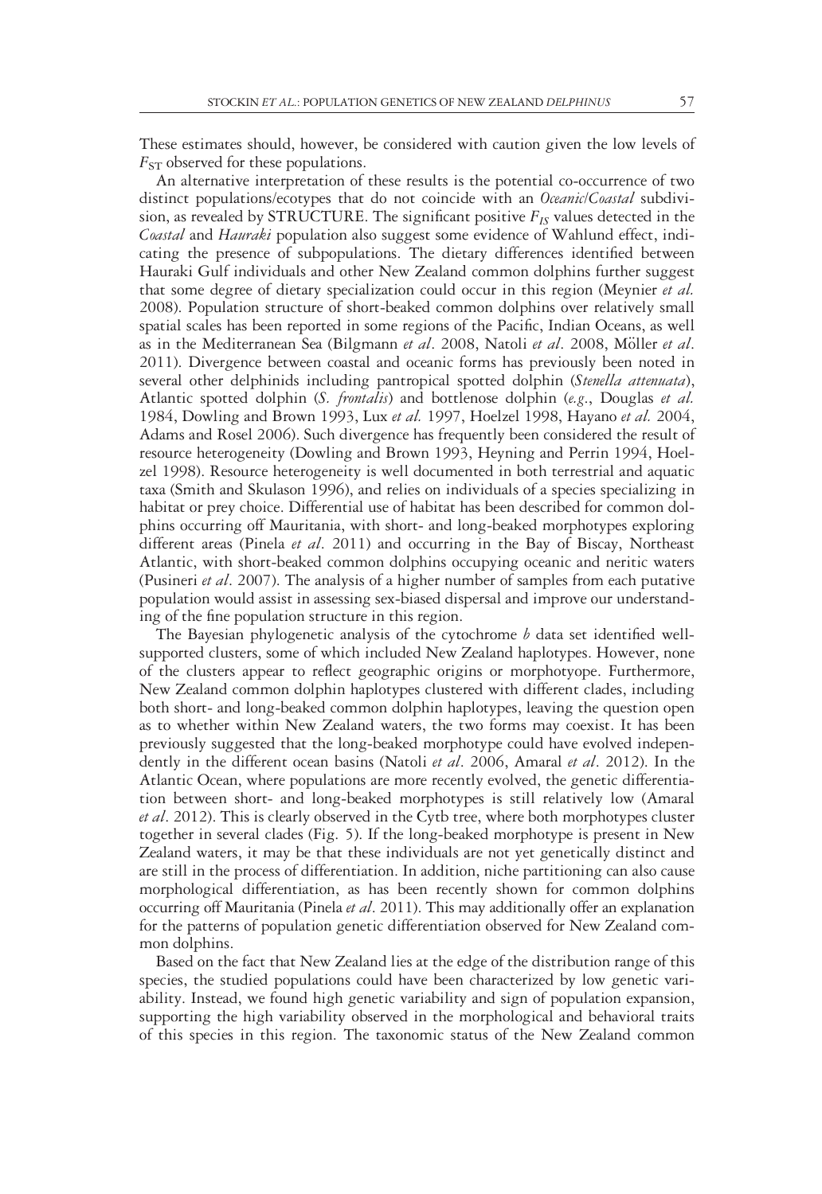These estimates should, however, be considered with caution given the low levels of  $F_{ST}$  observed for these populations.

An alternative interpretation of these results is the potential co-occurrence of two distinct populations/ecotypes that do not coincide with an *Oceanic/Coastal* subdivision, as revealed by STRUCTURE. The significant positive  $F_{IS}$  values detected in the Coastal and Hauraki population also suggest some evidence of Wahlund effect, indicating the presence of subpopulations. The dietary differences identified between Hauraki Gulf individuals and other New Zealand common dolphins further suggest that some degree of dietary specialization could occur in this region (Meynier *et al.*) 2008). Population structure of short-beaked common dolphins over relatively small spatial scales has been reported in some regions of the Pacific, Indian Oceans, as well as in the Mediterranean Sea (Bilgmann et al. 2008, Natoli et al. 2008, Möller et al. 2011). Divergence between coastal and oceanic forms has previously been noted in several other delphinids including pantropical spotted dolphin (Stenella attenuata), Atlantic spotted dolphin (S. frontalis) and bottlenose dolphin (e.g., Douglas et al. 1984, Dowling and Brown 1993, Lux et al. 1997, Hoelzel 1998, Hayano et al. 2004, Adams and Rosel 2006). Such divergence has frequently been considered the result of resource heterogeneity (Dowling and Brown 1993, Heyning and Perrin 1994, Hoelzel 1998). Resource heterogeneity is well documented in both terrestrial and aquatic taxa (Smith and Skulason 1996), and relies on individuals of a species specializing in habitat or prey choice. Differential use of habitat has been described for common dolphins occurring off Mauritania, with short- and long-beaked morphotypes exploring different areas (Pinela et al. 2011) and occurring in the Bay of Biscay, Northeast Atlantic, with short-beaked common dolphins occupying oceanic and neritic waters (Pusineri et al. 2007). The analysis of a higher number of samples from each putative population would assist in assessing sex-biased dispersal and improve our understanding of the fine population structure in this region.

The Bayesian phylogenetic analysis of the cytochrome  $b$  data set identified wellsupported clusters, some of which included New Zealand haplotypes. However, none of the clusters appear to reflect geographic origins or morphotyope. Furthermore, New Zealand common dolphin haplotypes clustered with different clades, including both short- and long-beaked common dolphin haplotypes, leaving the question open as to whether within New Zealand waters, the two forms may coexist. It has been previously suggested that the long-beaked morphotype could have evolved independently in the different ocean basins (Natoli et al. 2006, Amaral et al. 2012). In the Atlantic Ocean, where populations are more recently evolved, the genetic differentiation between short- and long-beaked morphotypes is still relatively low (Amaral et al. 2012). This is clearly observed in the Cytb tree, where both morphotypes cluster together in several clades (Fig. 5). If the long-beaked morphotype is present in New Zealand waters, it may be that these individuals are not yet genetically distinct and are still in the process of differentiation. In addition, niche partitioning can also cause morphological differentiation, as has been recently shown for common dolphins occurring off Mauritania (Pinela et al. 2011). This may additionally offer an explanation for the patterns of population genetic differentiation observed for New Zealand common dolphins.

Based on the fact that New Zealand lies at the edge of the distribution range of this species, the studied populations could have been characterized by low genetic variability. Instead, we found high genetic variability and sign of population expansion, supporting the high variability observed in the morphological and behavioral traits of this species in this region. The taxonomic status of the New Zealand common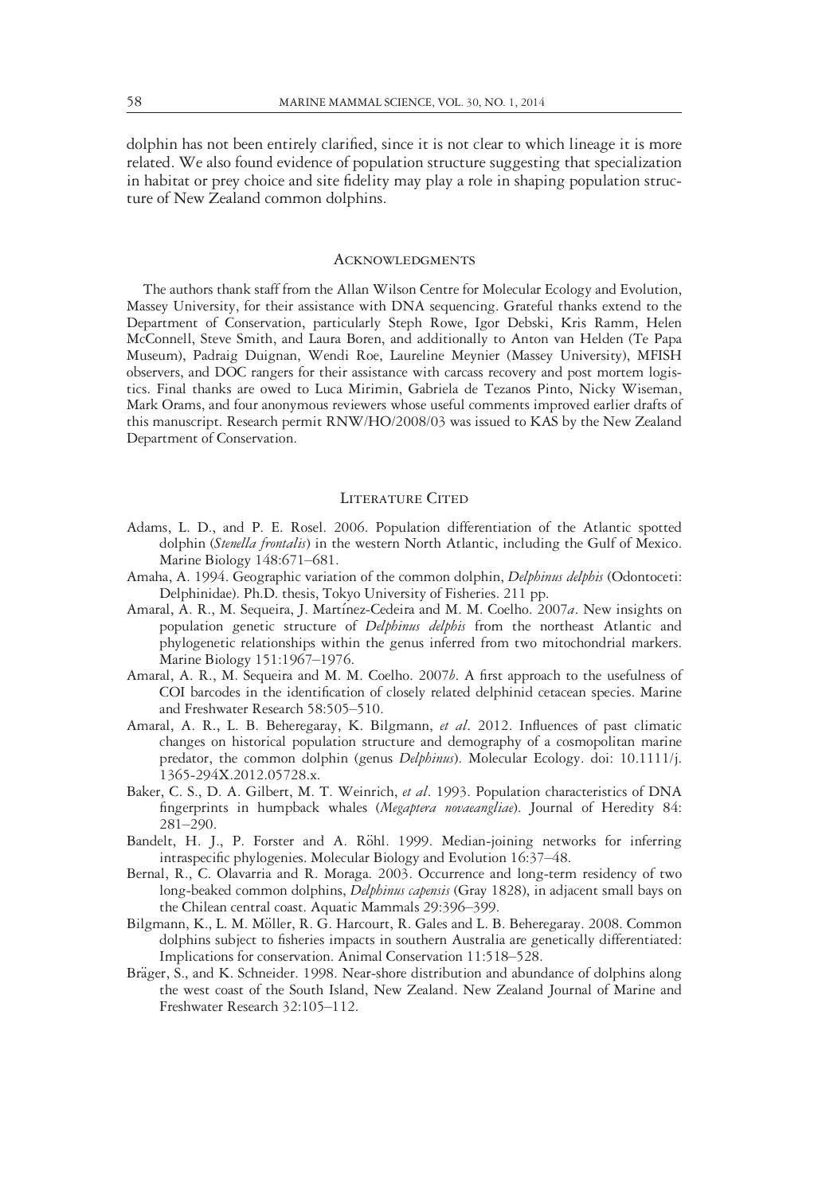dolphin has not been entirely clarified, since it is not clear to which lineage it is more related. We also found evidence of population structure suggesting that specialization in habitat or prey choice and site fidelity may play a role in shaping population structure of New Zealand common dolphins.

## **ACKNOWLEDGMENTS**

The authors thank staff from the Allan Wilson Centre for Molecular Ecology and Evolution, Massey University, for their assistance with DNA sequencing. Grateful thanks extend to the Department of Conservation, particularly Steph Rowe, Igor Debski, Kris Ramm, Helen McConnell, Steve Smith, and Laura Boren, and additionally to Anton van Helden (Te Papa Museum), Padraig Duignan, Wendi Roe, Laureline Meynier (Massey University), MFISH observers, and DOC rangers for their assistance with carcass recovery and post mortem logistics. Final thanks are owed to Luca Mirimin, Gabriela de Tezanos Pinto, Nicky Wiseman, Mark Orams, and four anonymous reviewers whose useful comments improved earlier drafts of this manuscript. Research permit RNW/HO/2008/03 was issued to KAS by the New Zealand Department of Conservation.

## LITERATURE CITED

- Adams, L. D., and P. E. Rosel. 2006. Population differentiation of the Atlantic spotted dolphin (Stenella frontalis) in the western North Atlantic, including the Gulf of Mexico. Marine Biology 148:671–681.
- Amaha, A. 1994. Geographic variation of the common dolphin, *Delphinus delphis* (Odontoceti: Delphinidae). Ph.D. thesis, Tokyo University of Fisheries. 211 pp.
- Amaral, A. R., M. Sequeira, J. Martínez-Cedeira and M. M. Coelho. 2007a. New insights on population genetic structure of Delphinus delphis from the northeast Atlantic and phylogenetic relationships within the genus inferred from two mitochondrial markers. Marine Biology 151:1967–1976.
- Amaral, A. R., M. Sequeira and M. M. Coelho. 2007b. A first approach to the usefulness of COI barcodes in the identification of closely related delphinid cetacean species. Marine and Freshwater Research 58:505–510.
- Amaral, A. R., L. B. Beheregaray, K. Bilgmann, et al. 2012. Influences of past climatic changes on historical population structure and demography of a cosmopolitan marine predator, the common dolphin (genus Delphinus). Molecular Ecology. doi: 10.1111/j. 1365-294X.2012.05728.x.
- Baker, C. S., D. A. Gilbert, M. T. Weinrich, et al. 1993. Population characteristics of DNA fingerprints in humpback whales (Megaptera novaeangliae). Journal of Heredity 84: 281–290.
- Bandelt, H. J., P. Forster and A. Röhl. 1999. Median-joining networks for inferring intraspecific phylogenies. Molecular Biology and Evolution 16:37–48.
- Bernal, R., C. Olavarria and R. Moraga. 2003. Occurrence and long-term residency of two long-beaked common dolphins, *Delphinus capensis* (Gray 1828), in adjacent small bays on the Chilean central coast. Aquatic Mammals 29:396–399.
- Bilgmann, K., L. M. Möller, R. G. Harcourt, R. Gales and L. B. Beheregaray. 2008. Common dolphins subject to fisheries impacts in southern Australia are genetically differentiated: Implications for conservation. Animal Conservation 11:518–528.
- Bräger, S., and K. Schneider. 1998. Near-shore distribution and abundance of dolphins along the west coast of the South Island, New Zealand. New Zealand Journal of Marine and Freshwater Research 32:105–112.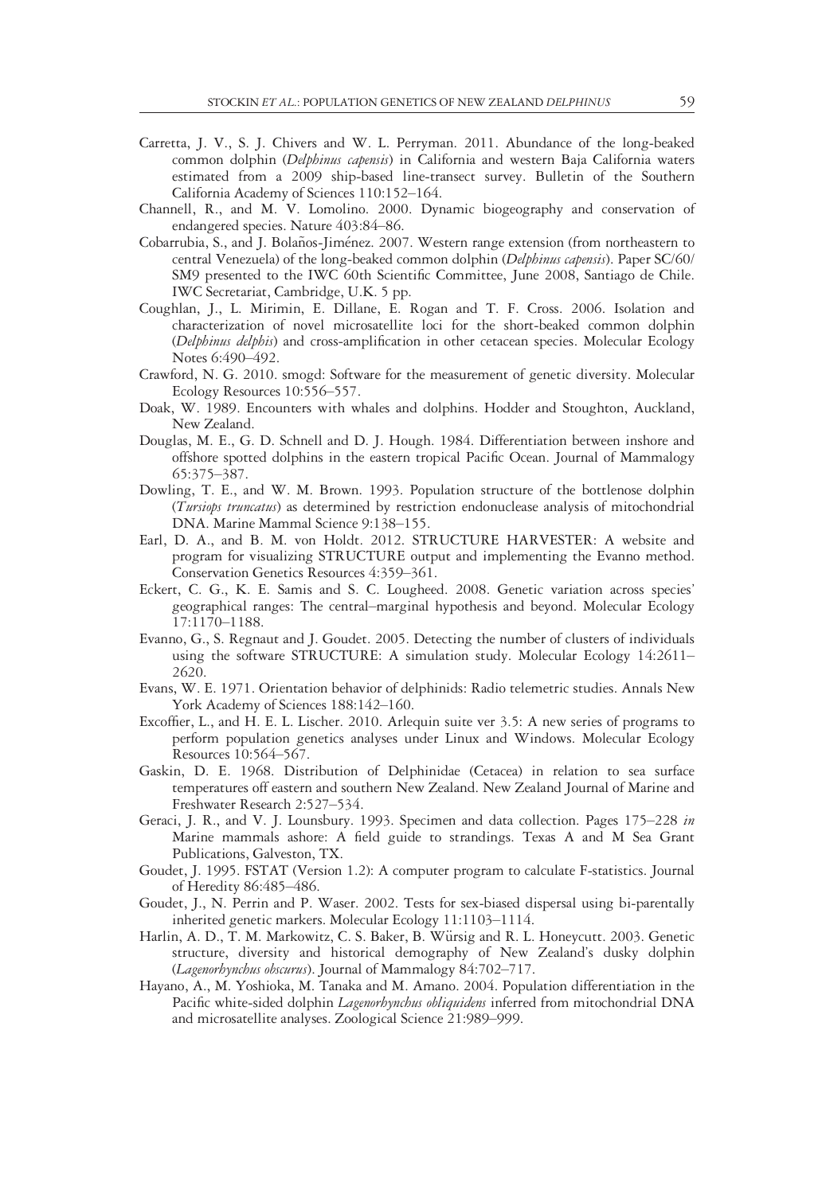- Carretta, J. V., S. J. Chivers and W. L. Perryman. 2011. Abundance of the long-beaked common dolphin (Delphinus capensis) in California and western Baja California waters estimated from a 2009 ship-based line-transect survey. Bulletin of the Southern California Academy of Sciences 110:152–164.
- Channell, R., and M. V. Lomolino. 2000. Dynamic biogeography and conservation of endangered species. Nature 403:84–86.
- Cobarrubia, S., and J. Bolaños-Jiménez. 2007. Western range extension (from northeastern to central Venezuela) of the long-beaked common dolphin (Delphinus capensis). Paper SC/60/ SM9 presented to the IWC 60th Scientific Committee, June 2008, Santiago de Chile. IWC Secretariat, Cambridge, U.K. 5 pp.
- Coughlan, J., L. Mirimin, E. Dillane, E. Rogan and T. F. Cross. 2006. Isolation and characterization of novel microsatellite loci for the short-beaked common dolphin (Delphinus delphis) and cross-amplification in other cetacean species. Molecular Ecology Notes 6:490–492.
- Crawford, N. G. 2010. smogd: Software for the measurement of genetic diversity. Molecular Ecology Resources 10:556–557.
- Doak, W. 1989. Encounters with whales and dolphins. Hodder and Stoughton, Auckland, New Zealand.
- Douglas, M. E., G. D. Schnell and D. J. Hough. 1984. Differentiation between inshore and offshore spotted dolphins in the eastern tropical Pacific Ocean. Journal of Mammalogy 65:375–387.
- Dowling, T. E., and W. M. Brown. 1993. Population structure of the bottlenose dolphin (Tursiops truncatus) as determined by restriction endonuclease analysis of mitochondrial DNA. Marine Mammal Science 9:138–155.
- Earl, D. A., and B. M. von Holdt. 2012. STRUCTURE HARVESTER: A website and program for visualizing STRUCTURE output and implementing the Evanno method. Conservation Genetics Resources 4:359–361.
- Eckert, C. G., K. E. Samis and S. C. Lougheed. 2008. Genetic variation across species' geographical ranges: The central–marginal hypothesis and beyond. Molecular Ecology 17:1170–1188.
- Evanno, G., S. Regnaut and J. Goudet. 2005. Detecting the number of clusters of individuals using the software STRUCTURE: A simulation study. Molecular Ecology 14:2611– 2620.
- Evans, W. E. 1971. Orientation behavior of delphinids: Radio telemetric studies. Annals New York Academy of Sciences 188:142–160.
- Excoffier, L., and H. E. L. Lischer. 2010. Arlequin suite ver 3.5: A new series of programs to perform population genetics analyses under Linux and Windows. Molecular Ecology Resources 10:564–567.
- Gaskin, D. E. 1968. Distribution of Delphinidae (Cetacea) in relation to sea surface temperatures off eastern and southern New Zealand. New Zealand Journal of Marine and Freshwater Research 2:527–534.
- Geraci, J. R., and V. J. Lounsbury. 1993. Specimen and data collection. Pages 175–228 in Marine mammals ashore: A field guide to strandings. Texas A and M Sea Grant Publications, Galveston, TX.
- Goudet, J. 1995. FSTAT (Version 1.2): A computer program to calculate F-statistics. Journal of Heredity 86:485–486.
- Goudet, J., N. Perrin and P. Waser. 2002. Tests for sex-biased dispersal using bi-parentally inherited genetic markers. Molecular Ecology 11:1103–1114.
- Harlin, A. D., T. M. Markowitz, C. S. Baker, B. Würsig and R. L. Honeycutt. 2003. Genetic structure, diversity and historical demography of New Zealand's dusky dolphin (Lagenorhynchus obscurus). Journal of Mammalogy 84:702–717.
- Hayano, A., M. Yoshioka, M. Tanaka and M. Amano. 2004. Population differentiation in the Pacific white-sided dolphin Lagenorhynchus obliquidens inferred from mitochondrial DNA and microsatellite analyses. Zoological Science 21:989–999.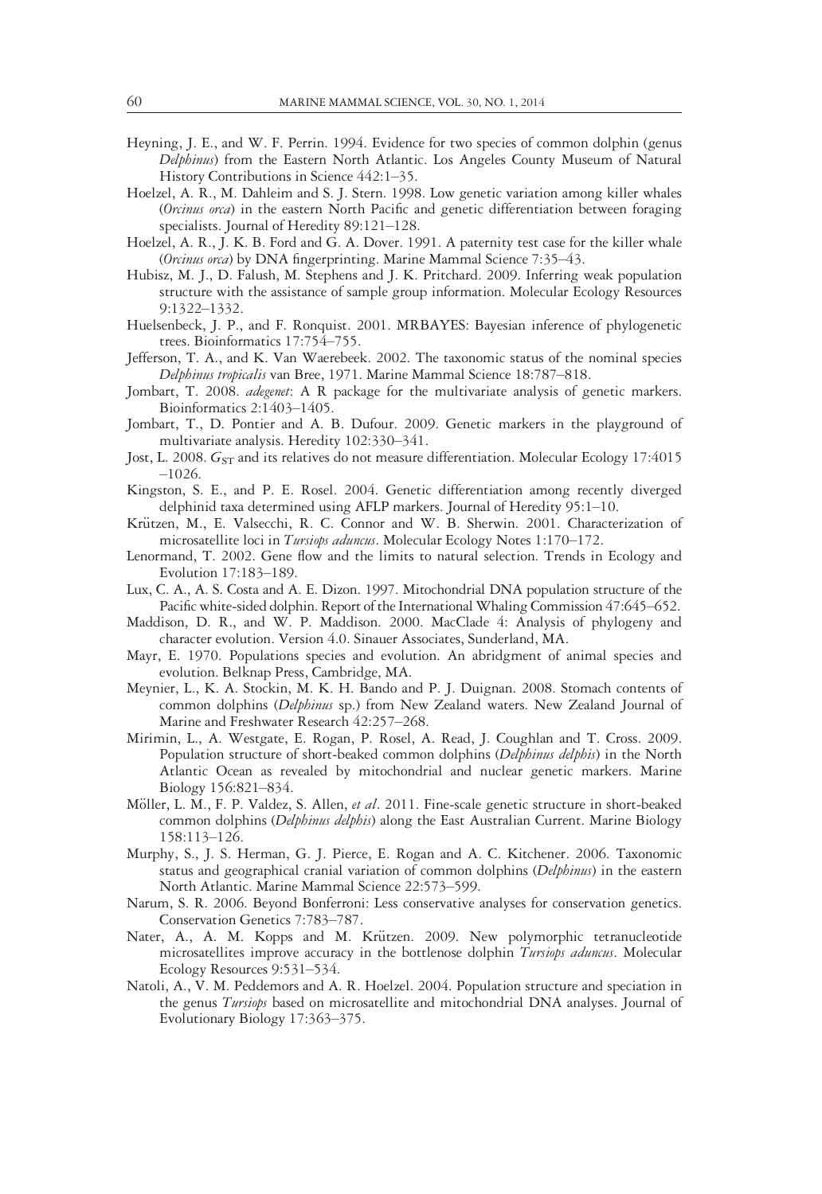- Heyning, J. E., and W. F. Perrin. 1994. Evidence for two species of common dolphin (genus Delphinus) from the Eastern North Atlantic. Los Angeles County Museum of Natural History Contributions in Science 442:1–35.
- Hoelzel, A. R., M. Dahleim and S. J. Stern. 1998. Low genetic variation among killer whales (Orcinus orca) in the eastern North Pacific and genetic differentiation between foraging specialists. Journal of Heredity 89:121–128.
- Hoelzel, A. R., J. K. B. Ford and G. A. Dover. 1991. A paternity test case for the killer whale (Orcinus orca) by DNA fingerprinting. Marine Mammal Science 7:35-43.
- Hubisz, M. J., D. Falush, M. Stephens and J. K. Pritchard. 2009. Inferring weak population structure with the assistance of sample group information. Molecular Ecology Resources 9:1322–1332.
- Huelsenbeck, J. P., and F. Ronquist. 2001. MRBAYES: Bayesian inference of phylogenetic trees. Bioinformatics 17:754–755.

Jefferson, T. A., and K. Van Waerebeek. 2002. The taxonomic status of the nominal species Delphinus tropicalis van Bree, 1971. Marine Mammal Science 18:787–818.

- Jombart, T. 2008. adegenet: A R package for the multivariate analysis of genetic markers. Bioinformatics 2:1403–1405.
- Jombart, T., D. Pontier and A. B. Dufour. 2009. Genetic markers in the playground of multivariate analysis. Heredity 102:330–341.
- Jost, L. 2008.  $G<sub>ST</sub>$  and its relatives do not measure differentiation. Molecular Ecology 17:4015 –1026.
- Kingston, S. E., and P. E. Rosel. 2004. Genetic differentiation among recently diverged delphinid taxa determined using AFLP markers. Journal of Heredity 95:1–10.
- Krützen, M., E. Valsecchi, R. C. Connor and W. B. Sherwin. 2001. Characterization of microsatellite loci in Tursiops aduncus. Molecular Ecology Notes 1:170-172.
- Lenormand, T. 2002. Gene flow and the limits to natural selection. Trends in Ecology and Evolution 17:183–189.
- Lux, C. A., A. S. Costa and A. E. Dizon. 1997. Mitochondrial DNA population structure of the Pacific white-sided dolphin. Report of the International Whaling Commission 47:645-652.
- Maddison, D. R., and W. P. Maddison. 2000. MacClade 4: Analysis of phylogeny and character evolution. Version 4.0. Sinauer Associates, Sunderland, MA.
- Mayr, E. 1970. Populations species and evolution. An abridgment of animal species and evolution. Belknap Press, Cambridge, MA.
- Meynier, L., K. A. Stockin, M. K. H. Bando and P. J. Duignan. 2008. Stomach contents of common dolphins (Delphinus sp.) from New Zealand waters. New Zealand Journal of Marine and Freshwater Research 42:257–268.
- Mirimin, L., A. Westgate, E. Rogan, P. Rosel, A. Read, J. Coughlan and T. Cross. 2009. Population structure of short-beaked common dolphins (Delphinus delphis) in the North Atlantic Ocean as revealed by mitochondrial and nuclear genetic markers. Marine Biology 156:821–834.
- Möller, L. M., F. P. Valdez, S. Allen, et al. 2011. Fine-scale genetic structure in short-beaked common dolphins (Delphinus delphis) along the East Australian Current. Marine Biology 158:113–126.
- Murphy, S., J. S. Herman, G. J. Pierce, E. Rogan and A. C. Kitchener. 2006. Taxonomic status and geographical cranial variation of common dolphins (Delphinus) in the eastern North Atlantic. Marine Mammal Science 22:573–599.
- Narum, S. R. 2006. Beyond Bonferroni: Less conservative analyses for conservation genetics. Conservation Genetics 7:783–787.
- Nater, A., A. M. Kopps and M. Krützen. 2009. New polymorphic tetranucleotide microsatellites improve accuracy in the bottlenose dolphin Tursiops aduncus. Molecular Ecology Resources 9:531–534.
- Natoli, A., V. M. Peddemors and A. R. Hoelzel. 2004. Population structure and speciation in the genus Tursiops based on microsatellite and mitochondrial DNA analyses. Journal of Evolutionary Biology 17:363–375.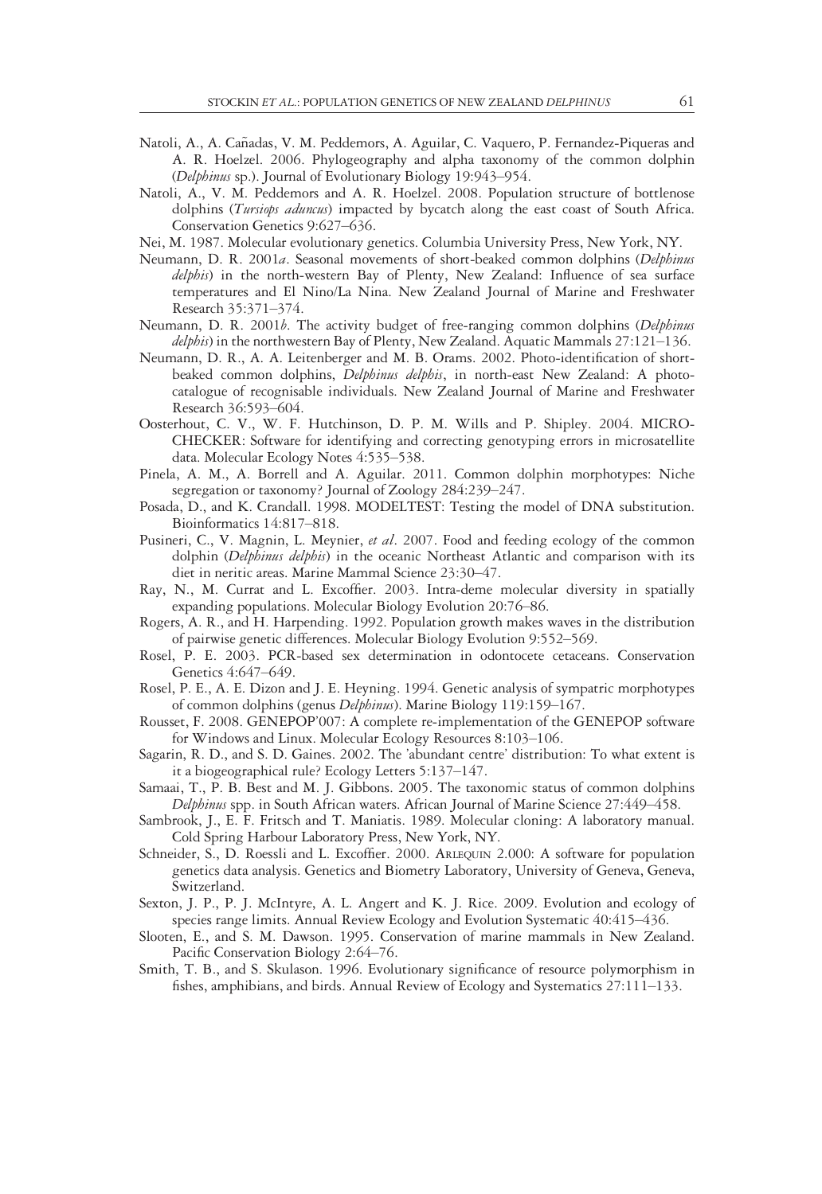- Natoli, A., A. Cañadas, V. M. Peddemors, A. Aguilar, C. Vaquero, P. Fernandez-Piqueras and A. R. Hoelzel. 2006. Phylogeography and alpha taxonomy of the common dolphin (Delphinus sp.). Journal of Evolutionary Biology 19:943–954.
- Natoli, A., V. M. Peddemors and A. R. Hoelzel. 2008. Population structure of bottlenose dolphins (Tursiops aduncus) impacted by bycatch along the east coast of South Africa. Conservation Genetics 9:627–636.
- Nei, M. 1987. Molecular evolutionary genetics. Columbia University Press, New York, NY.
- Neumann, D. R. 2001a. Seasonal movements of short-beaked common dolphins (Delphinus delphis) in the north-western Bay of Plenty, New Zealand: Influence of sea surface temperatures and El Nino/La Nina. New Zealand Journal of Marine and Freshwater Research 35:371–374.
- Neumann, D. R. 2001b. The activity budget of free-ranging common dolphins (Delphinus delphis) in the northwestern Bay of Plenty, New Zealand. Aquatic Mammals 27:121–136.
- Neumann, D. R., A. A. Leitenberger and M. B. Orams. 2002. Photo-identification of shortbeaked common dolphins, Delphinus delphis, in north-east New Zealand: A photocatalogue of recognisable individuals. New Zealand Journal of Marine and Freshwater Research 36:593–604.
- Oosterhout, C. V., W. F. Hutchinson, D. P. M. Wills and P. Shipley. 2004. MICRO-CHECKER: Software for identifying and correcting genotyping errors in microsatellite data. Molecular Ecology Notes 4:535–538.
- Pinela, A. M., A. Borrell and A. Aguilar. 2011. Common dolphin morphotypes: Niche segregation or taxonomy? Journal of Zoology 284:239–247.
- Posada, D., and K. Crandall. 1998. MODELTEST: Testing the model of DNA substitution. Bioinformatics 14:817–818.
- Pusineri, C., V. Magnin, L. Meynier, et al. 2007. Food and feeding ecology of the common dolphin (Delphinus delphis) in the oceanic Northeast Atlantic and comparison with its diet in neritic areas. Marine Mammal Science 23:30–47.
- Ray, N., M. Currat and L. Excoffier. 2003. Intra-deme molecular diversity in spatially expanding populations. Molecular Biology Evolution 20:76–86.
- Rogers, A. R., and H. Harpending. 1992. Population growth makes waves in the distribution of pairwise genetic differences. Molecular Biology Evolution 9:552–569.
- Rosel, P. E. 2003. PCR-based sex determination in odontocete cetaceans. Conservation Genetics 4:647–649.
- Rosel, P. E., A. E. Dizon and J. E. Heyning. 1994. Genetic analysis of sympatric morphotypes of common dolphins (genus Delphinus). Marine Biology 119:159–167.
- Rousset, F. 2008. GENEPOP'007: A complete re-implementation of the GENEPOP software for Windows and Linux. Molecular Ecology Resources 8:103–106.
- Sagarin, R. D., and S. D. Gaines. 2002. The 'abundant centre' distribution: To what extent is it a biogeographical rule? Ecology Letters 5:137–147.
- Samaai, T., P. B. Best and M. J. Gibbons. 2005. The taxonomic status of common dolphins Delphinus spp. in South African waters. African Journal of Marine Science 27:449–458.
- Sambrook, J., E. F. Fritsch and T. Maniatis. 1989. Molecular cloning: A laboratory manual. Cold Spring Harbour Laboratory Press, New York, NY.
- Schneider, S., D. Roessli and L. Excoffier. 2000. ARLEQUIN 2.000: A software for population genetics data analysis. Genetics and Biometry Laboratory, University of Geneva, Geneva, Switzerland.
- Sexton, J. P., P. J. McIntyre, A. L. Angert and K. J. Rice. 2009. Evolution and ecology of species range limits. Annual Review Ecology and Evolution Systematic 40:415–436.
- Slooten, E., and S. M. Dawson. 1995. Conservation of marine mammals in New Zealand. Pacific Conservation Biology 2:64–76.
- Smith, T. B., and S. Skulason. 1996. Evolutionary significance of resource polymorphism in fishes, amphibians, and birds. Annual Review of Ecology and Systematics 27:111–133.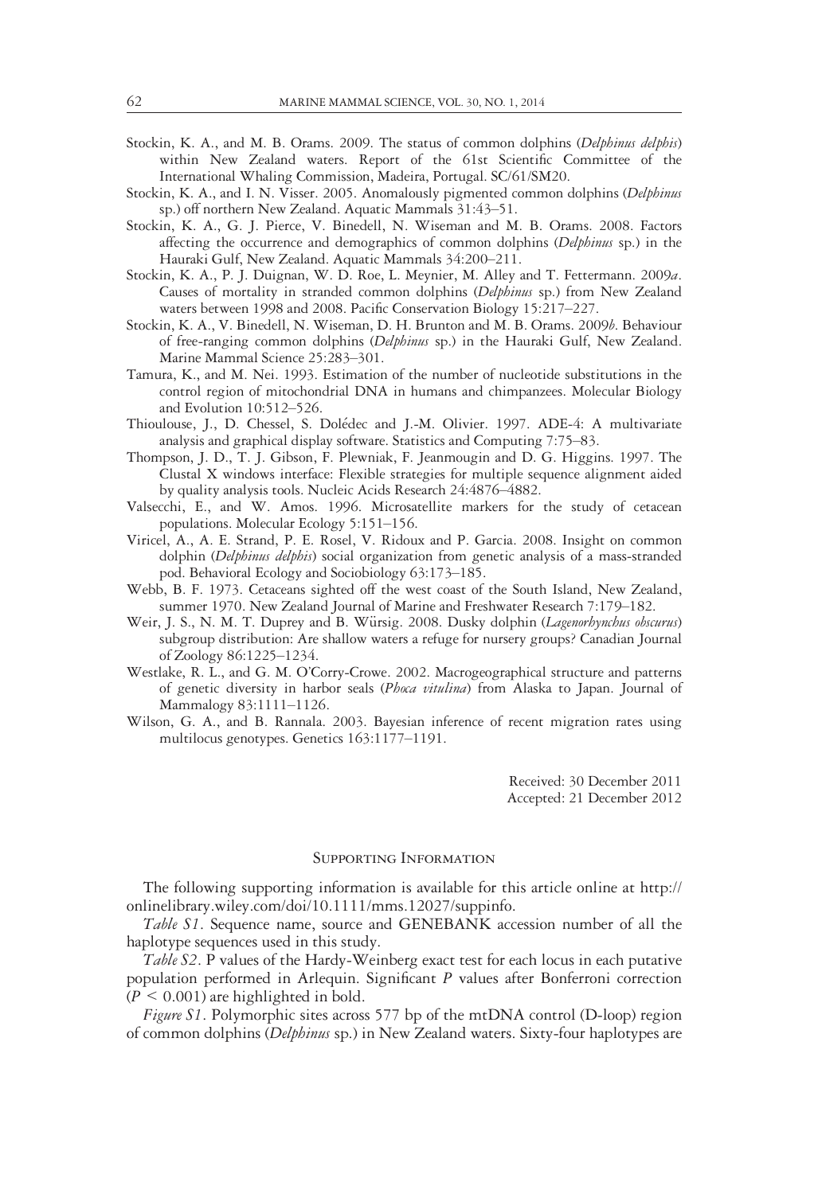- Stockin, K. A., and M. B. Orams. 2009. The status of common dolphins (Delphinus delphis) within New Zealand waters. Report of the 61st Scientific Committee of the International Whaling Commission, Madeira, Portugal. SC/61/SM20.
- Stockin, K. A., and I. N. Visser. 2005. Anomalously pigmented common dolphins (Delphinus sp.) off northern New Zealand. Aquatic Mammals 31:43–51.
- Stockin, K. A., G. J. Pierce, V. Binedell, N. Wiseman and M. B. Orams. 2008. Factors affecting the occurrence and demographics of common dolphins (Delphinus sp.) in the Hauraki Gulf, New Zealand. Aquatic Mammals 34:200–211.
- Stockin, K. A., P. J. Duignan, W. D. Roe, L. Meynier, M. Alley and T. Fettermann. 2009a. Causes of mortality in stranded common dolphins (Delphinus sp.) from New Zealand waters between 1998 and 2008. Pacific Conservation Biology 15:217–227.
- Stockin, K. A., V. Binedell, N. Wiseman, D. H. Brunton and M. B. Orams. 2009b. Behaviour of free-ranging common dolphins (Delphinus sp.) in the Hauraki Gulf, New Zealand. Marine Mammal Science 25:283–301.
- Tamura, K., and M. Nei. 1993. Estimation of the number of nucleotide substitutions in the control region of mitochondrial DNA in humans and chimpanzees. Molecular Biology and Evolution 10:512–526.
- Thioulouse, J., D. Chessel, S. Dolédec and J.-M. Olivier. 1997. ADE-4: A multivariate analysis and graphical display software. Statistics and Computing 7:75–83.
- Thompson, J. D., T. J. Gibson, F. Plewniak, F. Jeanmougin and D. G. Higgins. 1997. The Clustal X windows interface: Flexible strategies for multiple sequence alignment aided by quality analysis tools. Nucleic Acids Research 24:4876–4882.
- Valsecchi, E., and W. Amos. 1996. Microsatellite markers for the study of cetacean populations. Molecular Ecology 5:151–156.
- Viricel, A., A. E. Strand, P. E. Rosel, V. Ridoux and P. Garcia. 2008. Insight on common dolphin (Delphinus delphis) social organization from genetic analysis of a mass-stranded pod. Behavioral Ecology and Sociobiology 63:173–185.
- Webb, B. F. 1973. Cetaceans sighted off the west coast of the South Island, New Zealand, summer 1970. New Zealand Journal of Marine and Freshwater Research 7:179–182.
- Weir, J. S., N. M. T. Duprey and B. Würsig. 2008. Dusky dolphin (Lagenorhynchus obscurus) subgroup distribution: Are shallow waters a refuge for nursery groups? Canadian Journal of Zoology 86:1225–1234.
- Westlake, R. L., and G. M. O'Corry-Crowe. 2002. Macrogeographical structure and patterns of genetic diversity in harbor seals (Phoca vitulina) from Alaska to Japan. Journal of Mammalogy 83:1111–1126.
- Wilson, G. A., and B. Rannala. 2003. Bayesian inference of recent migration rates using multilocus genotypes. Genetics 163:1177–1191.

Received: 30 December 2011 Accepted: 21 December 2012

# Supporting Information

The following supporting information is available for this article online at http:// onlinelibrary.wiley.com/doi/10.1111/mms.12027/suppinfo.

Table S1. Sequence name, source and GENEBANK accession number of all the haplotype sequences used in this study.

Table S2. P values of the Hardy-Weinberg exact test for each locus in each putative population performed in Arlequin. Significant P values after Bonferroni correction  $(P \leq 0.001)$  are highlighted in bold.

Figure S1. Polymorphic sites across 577 bp of the mtDNA control (D-loop) region of common dolphins (Delphinus sp.) in New Zealand waters. Sixty-four haplotypes are